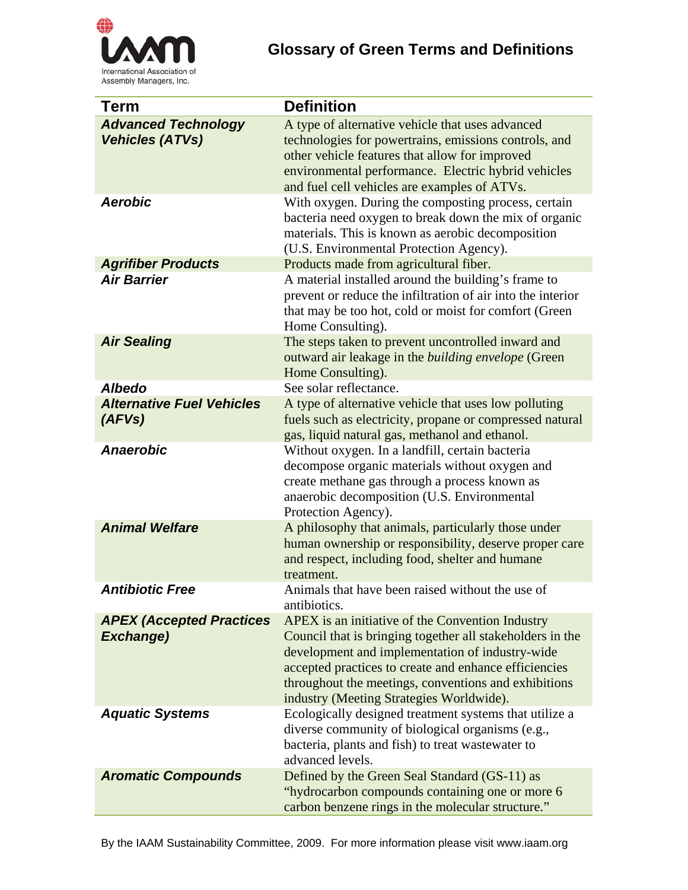

## **Glossary of Green Terms and Definitions**

| <b>Term</b>                                          | <b>Definition</b>                                                                                                                                                                                                                                                                                                             |
|------------------------------------------------------|-------------------------------------------------------------------------------------------------------------------------------------------------------------------------------------------------------------------------------------------------------------------------------------------------------------------------------|
| <b>Advanced Technology</b><br><b>Vehicles (ATVs)</b> | A type of alternative vehicle that uses advanced<br>technologies for powertrains, emissions controls, and<br>other vehicle features that allow for improved<br>environmental performance. Electric hybrid vehicles<br>and fuel cell vehicles are examples of ATVs.                                                            |
| <b>Aerobic</b>                                       | With oxygen. During the composting process, certain<br>bacteria need oxygen to break down the mix of organic<br>materials. This is known as aerobic decomposition<br>(U.S. Environmental Protection Agency).                                                                                                                  |
| <b>Agrifiber Products</b>                            | Products made from agricultural fiber.                                                                                                                                                                                                                                                                                        |
| <b>Air Barrier</b>                                   | A material installed around the building's frame to<br>prevent or reduce the infiltration of air into the interior<br>that may be too hot, cold or moist for comfort (Green<br>Home Consulting).                                                                                                                              |
| <b>Air Sealing</b>                                   | The steps taken to prevent uncontrolled inward and<br>outward air leakage in the building envelope (Green<br>Home Consulting).                                                                                                                                                                                                |
| <b>Albedo</b>                                        | See solar reflectance.                                                                                                                                                                                                                                                                                                        |
| <b>Alternative Fuel Vehicles</b><br>(AFVs)           | A type of alternative vehicle that uses low polluting<br>fuels such as electricity, propane or compressed natural<br>gas, liquid natural gas, methanol and ethanol.                                                                                                                                                           |
| <b>Anaerobic</b>                                     | Without oxygen. In a landfill, certain bacteria<br>decompose organic materials without oxygen and<br>create methane gas through a process known as<br>anaerobic decomposition (U.S. Environmental<br>Protection Agency).                                                                                                      |
| <b>Animal Welfare</b>                                | A philosophy that animals, particularly those under<br>human ownership or responsibility, deserve proper care<br>and respect, including food, shelter and humane<br>treatment.                                                                                                                                                |
| <b>Antibiotic Free</b>                               | Animals that have been raised without the use of<br>antibiotics.                                                                                                                                                                                                                                                              |
| <b>APEX (Accepted Practices</b><br><b>Exchange)</b>  | APEX is an initiative of the Convention Industry<br>Council that is bringing together all stakeholders in the<br>development and implementation of industry-wide<br>accepted practices to create and enhance efficiencies<br>throughout the meetings, conventions and exhibitions<br>industry (Meeting Strategies Worldwide). |
| <b>Aquatic Systems</b>                               | Ecologically designed treatment systems that utilize a<br>diverse community of biological organisms (e.g.,<br>bacteria, plants and fish) to treat wastewater to<br>advanced levels.                                                                                                                                           |
| <b>Aromatic Compounds</b>                            | Defined by the Green Seal Standard (GS-11) as<br>"hydrocarbon compounds containing one or more 6<br>carbon benzene rings in the molecular structure."                                                                                                                                                                         |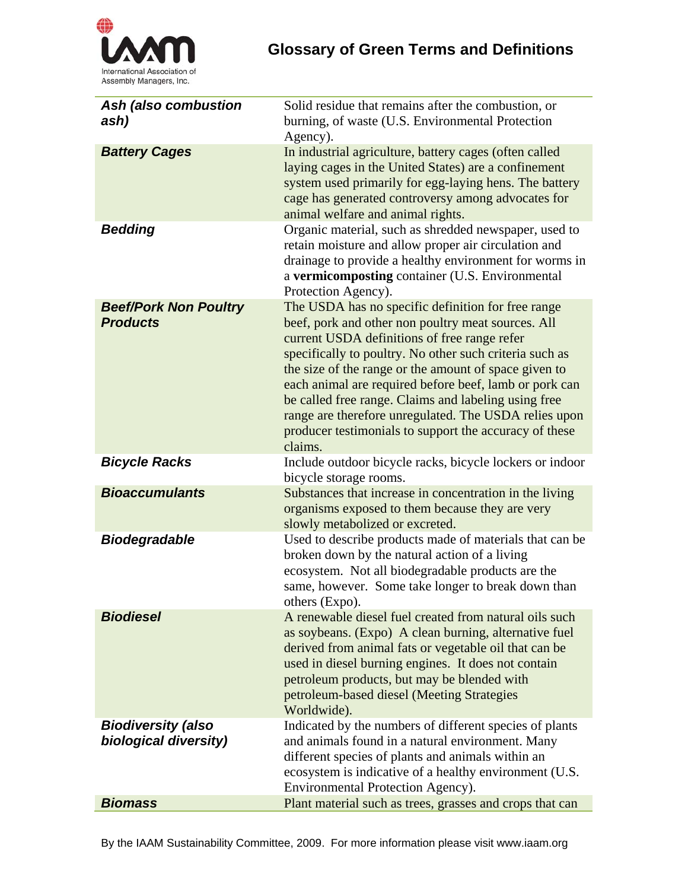

| <b>Ash (also combustion</b><br>ash)                | Solid residue that remains after the combustion, or<br>burning, of waste (U.S. Environmental Protection<br>Agency).                                                                                                                                                                                                                                                                                                                                                                                                          |
|----------------------------------------------------|------------------------------------------------------------------------------------------------------------------------------------------------------------------------------------------------------------------------------------------------------------------------------------------------------------------------------------------------------------------------------------------------------------------------------------------------------------------------------------------------------------------------------|
| <b>Battery Cages</b>                               | In industrial agriculture, battery cages (often called<br>laying cages in the United States) are a confinement<br>system used primarily for egg-laying hens. The battery<br>cage has generated controversy among advocates for<br>animal welfare and animal rights.                                                                                                                                                                                                                                                          |
| <b>Bedding</b>                                     | Organic material, such as shredded newspaper, used to<br>retain moisture and allow proper air circulation and<br>drainage to provide a healthy environment for worms in<br>a vermicomposting container (U.S. Environmental<br>Protection Agency).                                                                                                                                                                                                                                                                            |
| <b>Beef/Pork Non Poultry</b><br><b>Products</b>    | The USDA has no specific definition for free range<br>beef, pork and other non poultry meat sources. All<br>current USDA definitions of free range refer<br>specifically to poultry. No other such criteria such as<br>the size of the range or the amount of space given to<br>each animal are required before beef, lamb or pork can<br>be called free range. Claims and labeling using free<br>range are therefore unregulated. The USDA relies upon<br>producer testimonials to support the accuracy of these<br>claims. |
| <b>Bicycle Racks</b>                               | Include outdoor bicycle racks, bicycle lockers or indoor<br>bicycle storage rooms.                                                                                                                                                                                                                                                                                                                                                                                                                                           |
| <b>Bioaccumulants</b>                              | Substances that increase in concentration in the living<br>organisms exposed to them because they are very<br>slowly metabolized or excreted.                                                                                                                                                                                                                                                                                                                                                                                |
| <b>Biodegradable</b>                               | Used to describe products made of materials that can be<br>broken down by the natural action of a living<br>ecosystem. Not all biodegradable products are the<br>same, however. Some take longer to break down than<br>others (Expo).                                                                                                                                                                                                                                                                                        |
| <b>Biodiesel</b>                                   | A renewable diesel fuel created from natural oils such<br>as soybeans. (Expo) A clean burning, alternative fuel<br>derived from animal fats or vegetable oil that can be<br>used in diesel burning engines. It does not contain<br>petroleum products, but may be blended with<br>petroleum-based diesel (Meeting Strategies<br>Worldwide).                                                                                                                                                                                  |
| <b>Biodiversity (also</b><br>biological diversity) | Indicated by the numbers of different species of plants<br>and animals found in a natural environment. Many<br>different species of plants and animals within an<br>ecosystem is indicative of a healthy environment (U.S.<br>Environmental Protection Agency).                                                                                                                                                                                                                                                              |
| <b>Biomass</b>                                     | Plant material such as trees, grasses and crops that can                                                                                                                                                                                                                                                                                                                                                                                                                                                                     |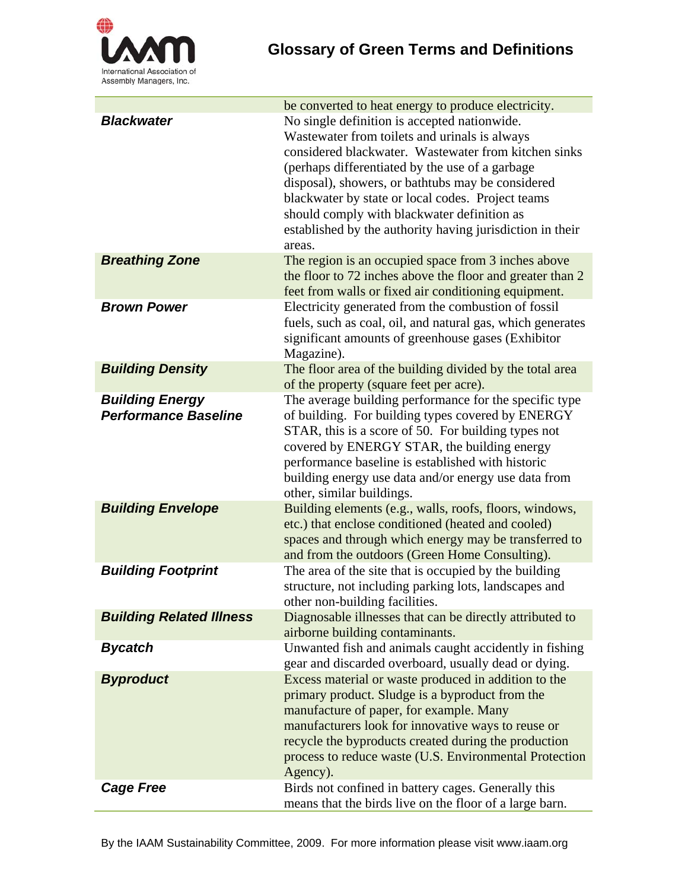

|                                                       | be converted to heat energy to produce electricity.                                                                                                                                                                                                                                                                                                                                                                                      |
|-------------------------------------------------------|------------------------------------------------------------------------------------------------------------------------------------------------------------------------------------------------------------------------------------------------------------------------------------------------------------------------------------------------------------------------------------------------------------------------------------------|
| <b>Blackwater</b>                                     | No single definition is accepted nationwide.<br>Wastewater from toilets and urinals is always<br>considered blackwater. Wastewater from kitchen sinks<br>(perhaps differentiated by the use of a garbage<br>disposal), showers, or bathtubs may be considered<br>blackwater by state or local codes. Project teams<br>should comply with blackwater definition as<br>established by the authority having jurisdiction in their<br>areas. |
| <b>Breathing Zone</b>                                 | The region is an occupied space from 3 inches above<br>the floor to 72 inches above the floor and greater than 2<br>feet from walls or fixed air conditioning equipment.                                                                                                                                                                                                                                                                 |
| <b>Brown Power</b>                                    | Electricity generated from the combustion of fossil<br>fuels, such as coal, oil, and natural gas, which generates<br>significant amounts of greenhouse gases (Exhibitor<br>Magazine).                                                                                                                                                                                                                                                    |
| <b>Building Density</b>                               | The floor area of the building divided by the total area<br>of the property (square feet per acre).                                                                                                                                                                                                                                                                                                                                      |
| <b>Building Energy</b><br><b>Performance Baseline</b> | The average building performance for the specific type<br>of building. For building types covered by ENERGY<br>STAR, this is a score of 50. For building types not<br>covered by ENERGY STAR, the building energy<br>performance baseline is established with historic<br>building energy use data and/or energy use data from<br>other, similar buildings.                                                                              |
| <b>Building Envelope</b>                              | Building elements (e.g., walls, roofs, floors, windows,<br>etc.) that enclose conditioned (heated and cooled)<br>spaces and through which energy may be transferred to<br>and from the outdoors (Green Home Consulting).                                                                                                                                                                                                                 |
| <b>Building Footprint</b>                             | The area of the site that is occupied by the building<br>structure, not including parking lots, landscapes and<br>other non-building facilities.                                                                                                                                                                                                                                                                                         |
| <b>Building Related Illness</b>                       | Diagnosable illnesses that can be directly attributed to<br>airborne building contaminants.                                                                                                                                                                                                                                                                                                                                              |
| <b>Bycatch</b>                                        | Unwanted fish and animals caught accidently in fishing<br>gear and discarded overboard, usually dead or dying.                                                                                                                                                                                                                                                                                                                           |
| <b>Byproduct</b>                                      | Excess material or waste produced in addition to the<br>primary product. Sludge is a byproduct from the<br>manufacture of paper, for example. Many<br>manufacturers look for innovative ways to reuse or<br>recycle the byproducts created during the production<br>process to reduce waste (U.S. Environmental Protection<br>Agency).                                                                                                   |
| <b>Cage Free</b>                                      | Birds not confined in battery cages. Generally this<br>means that the birds live on the floor of a large barn.                                                                                                                                                                                                                                                                                                                           |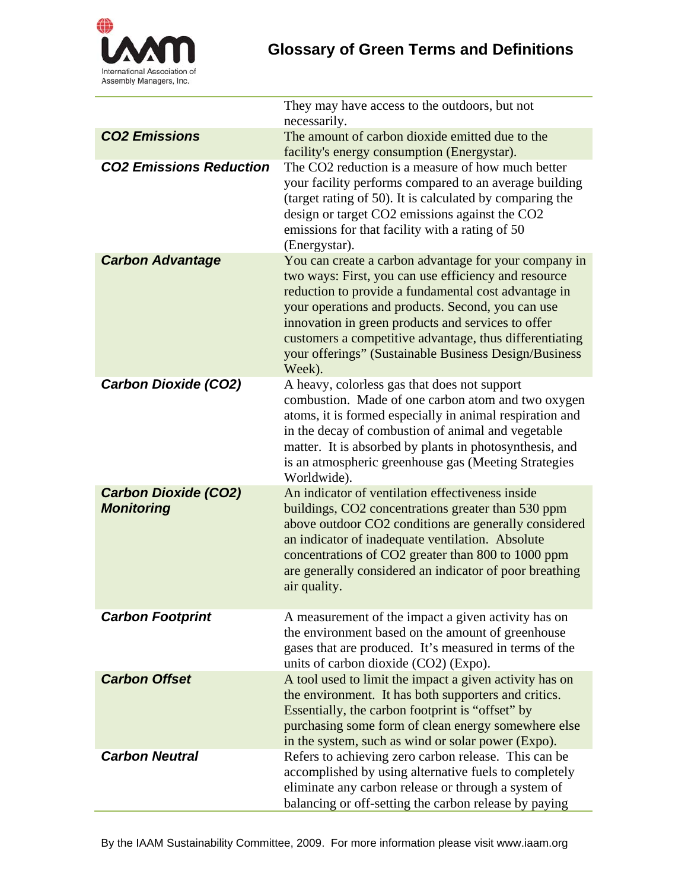

|                                                  | They may have access to the outdoors, but not<br>necessarily.                                                                                                                                                                                                                                                                                                                                                  |
|--------------------------------------------------|----------------------------------------------------------------------------------------------------------------------------------------------------------------------------------------------------------------------------------------------------------------------------------------------------------------------------------------------------------------------------------------------------------------|
| <b>CO2 Emissions</b>                             | The amount of carbon dioxide emitted due to the<br>facility's energy consumption (Energystar).                                                                                                                                                                                                                                                                                                                 |
| <b>CO2 Emissions Reduction</b>                   | The CO2 reduction is a measure of how much better<br>your facility performs compared to an average building<br>(target rating of 50). It is calculated by comparing the<br>design or target CO2 emissions against the CO2<br>emissions for that facility with a rating of 50<br>(Energystar).                                                                                                                  |
| <b>Carbon Advantage</b>                          | You can create a carbon advantage for your company in<br>two ways: First, you can use efficiency and resource<br>reduction to provide a fundamental cost advantage in<br>your operations and products. Second, you can use<br>innovation in green products and services to offer<br>customers a competitive advantage, thus differentiating<br>your offerings" (Sustainable Business Design/Business<br>Week). |
| <b>Carbon Dioxide (CO2)</b>                      | A heavy, colorless gas that does not support<br>combustion. Made of one carbon atom and two oxygen<br>atoms, it is formed especially in animal respiration and<br>in the decay of combustion of animal and vegetable<br>matter. It is absorbed by plants in photosynthesis, and<br>is an atmospheric greenhouse gas (Meeting Strategies<br>Worldwide).                                                         |
| <b>Carbon Dioxide (CO2)</b><br><b>Monitoring</b> | An indicator of ventilation effectiveness inside<br>buildings, CO2 concentrations greater than 530 ppm<br>above outdoor CO2 conditions are generally considered<br>an indicator of inadequate ventilation. Absolute<br>concentrations of CO2 greater than 800 to 1000 ppm<br>are generally considered an indicator of poor breathing<br>air quality.                                                           |
| <b>Carbon Footprint</b>                          | A measurement of the impact a given activity has on<br>the environment based on the amount of greenhouse<br>gases that are produced. It's measured in terms of the<br>units of carbon dioxide (CO2) (Expo).                                                                                                                                                                                                    |
| <b>Carbon Offset</b>                             | A tool used to limit the impact a given activity has on<br>the environment. It has both supporters and critics.<br>Essentially, the carbon footprint is "offset" by<br>purchasing some form of clean energy somewhere else<br>in the system, such as wind or solar power (Expo).                                                                                                                               |
| <b>Carbon Neutral</b>                            | Refers to achieving zero carbon release. This can be<br>accomplished by using alternative fuels to completely<br>eliminate any carbon release or through a system of<br>balancing or off-setting the carbon release by paying                                                                                                                                                                                  |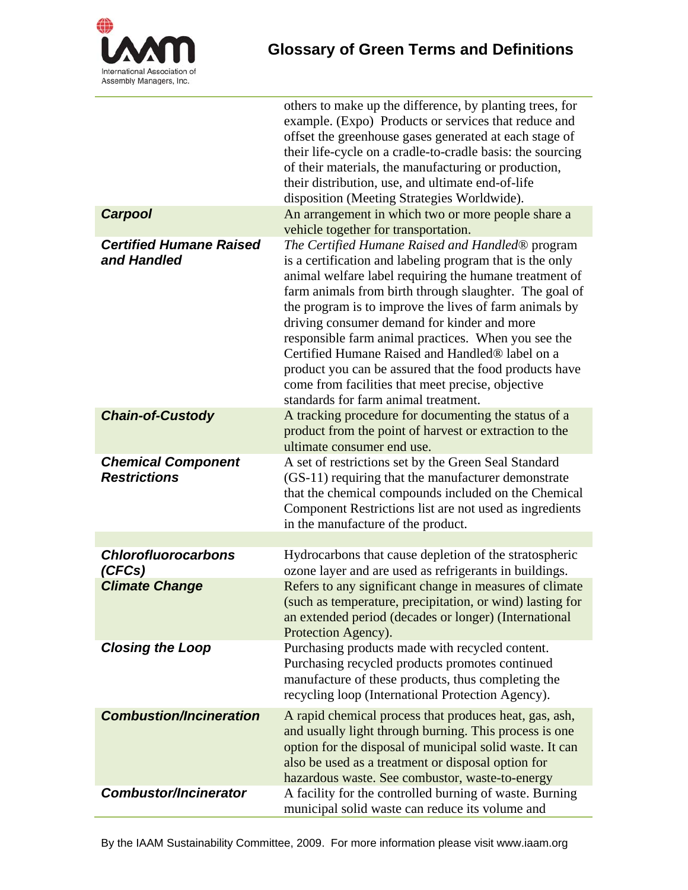

| others to make up the difference, by planting trees, for<br>example. (Expo) Products or services that reduce and<br>offset the greenhouse gases generated at each stage of<br>their life-cycle on a cradle-to-cradle basis: the sourcing<br>of their materials, the manufacturing or production,<br>their distribution, use, and ultimate end-of-life<br>disposition (Meeting Strategies Worldwide).<br>An arrangement in which two or more people share a<br><b>Carpool</b><br>vehicle together for transportation.<br><b>Certified Humane Raised</b><br>The Certified Humane Raised and Handled <sup>®</sup> program<br>and Handled<br>is a certification and labeling program that is the only<br>animal welfare label requiring the humane treatment of<br>farm animals from birth through slaughter. The goal of<br>the program is to improve the lives of farm animals by<br>driving consumer demand for kinder and more<br>responsible farm animal practices. When you see the<br>Certified Humane Raised and Handled <sup>®</sup> label on a<br>product you can be assured that the food products have<br>come from facilities that meet precise, objective<br>standards for farm animal treatment.<br><b>Chain-of-Custody</b><br>A tracking procedure for documenting the status of a<br>product from the point of harvest or extraction to the<br>ultimate consumer end use.<br><b>Chemical Component</b><br>A set of restrictions set by the Green Seal Standard<br><b>Restrictions</b><br>(GS-11) requiring that the manufacturer demonstrate<br>that the chemical compounds included on the Chemical<br>Component Restrictions list are not used as ingredients<br>in the manufacture of the product.<br><b>Chlorofluorocarbons</b><br>Hydrocarbons that cause depletion of the stratospheric<br>ozone layer and are used as refrigerants in buildings.<br>(CFCs)<br>Refers to any significant change in measures of climate<br><b>Climate Change</b><br>(such as temperature, precipitation, or wind) lasting for<br>an extended period (decades or longer) (International<br>Protection Agency).<br><b>Closing the Loop</b><br>Purchasing products made with recycled content.<br>Purchasing recycled products promotes continued<br>manufacture of these products, thus completing the<br>recycling loop (International Protection Agency).<br><b>Combustion/Incineration</b><br>A rapid chemical process that produces heat, gas, ash,<br>and usually light through burning. This process is one<br>option for the disposal of municipal solid waste. It can<br>also be used as a treatment or disposal option for |  |
|-------------------------------------------------------------------------------------------------------------------------------------------------------------------------------------------------------------------------------------------------------------------------------------------------------------------------------------------------------------------------------------------------------------------------------------------------------------------------------------------------------------------------------------------------------------------------------------------------------------------------------------------------------------------------------------------------------------------------------------------------------------------------------------------------------------------------------------------------------------------------------------------------------------------------------------------------------------------------------------------------------------------------------------------------------------------------------------------------------------------------------------------------------------------------------------------------------------------------------------------------------------------------------------------------------------------------------------------------------------------------------------------------------------------------------------------------------------------------------------------------------------------------------------------------------------------------------------------------------------------------------------------------------------------------------------------------------------------------------------------------------------------------------------------------------------------------------------------------------------------------------------------------------------------------------------------------------------------------------------------------------------------------------------------------------------------------------------------------------------------------------------------------------------------------------------------------------------------------------------------------------------------------------------------------------------------------------------------------------------------------------------------------------------------------------------------------------------------------------------------------------------------------------------------------------------------------------------------------------------------------------------|--|
|                                                                                                                                                                                                                                                                                                                                                                                                                                                                                                                                                                                                                                                                                                                                                                                                                                                                                                                                                                                                                                                                                                                                                                                                                                                                                                                                                                                                                                                                                                                                                                                                                                                                                                                                                                                                                                                                                                                                                                                                                                                                                                                                                                                                                                                                                                                                                                                                                                                                                                                                                                                                                                     |  |
|                                                                                                                                                                                                                                                                                                                                                                                                                                                                                                                                                                                                                                                                                                                                                                                                                                                                                                                                                                                                                                                                                                                                                                                                                                                                                                                                                                                                                                                                                                                                                                                                                                                                                                                                                                                                                                                                                                                                                                                                                                                                                                                                                                                                                                                                                                                                                                                                                                                                                                                                                                                                                                     |  |
|                                                                                                                                                                                                                                                                                                                                                                                                                                                                                                                                                                                                                                                                                                                                                                                                                                                                                                                                                                                                                                                                                                                                                                                                                                                                                                                                                                                                                                                                                                                                                                                                                                                                                                                                                                                                                                                                                                                                                                                                                                                                                                                                                                                                                                                                                                                                                                                                                                                                                                                                                                                                                                     |  |
|                                                                                                                                                                                                                                                                                                                                                                                                                                                                                                                                                                                                                                                                                                                                                                                                                                                                                                                                                                                                                                                                                                                                                                                                                                                                                                                                                                                                                                                                                                                                                                                                                                                                                                                                                                                                                                                                                                                                                                                                                                                                                                                                                                                                                                                                                                                                                                                                                                                                                                                                                                                                                                     |  |
|                                                                                                                                                                                                                                                                                                                                                                                                                                                                                                                                                                                                                                                                                                                                                                                                                                                                                                                                                                                                                                                                                                                                                                                                                                                                                                                                                                                                                                                                                                                                                                                                                                                                                                                                                                                                                                                                                                                                                                                                                                                                                                                                                                                                                                                                                                                                                                                                                                                                                                                                                                                                                                     |  |
|                                                                                                                                                                                                                                                                                                                                                                                                                                                                                                                                                                                                                                                                                                                                                                                                                                                                                                                                                                                                                                                                                                                                                                                                                                                                                                                                                                                                                                                                                                                                                                                                                                                                                                                                                                                                                                                                                                                                                                                                                                                                                                                                                                                                                                                                                                                                                                                                                                                                                                                                                                                                                                     |  |
|                                                                                                                                                                                                                                                                                                                                                                                                                                                                                                                                                                                                                                                                                                                                                                                                                                                                                                                                                                                                                                                                                                                                                                                                                                                                                                                                                                                                                                                                                                                                                                                                                                                                                                                                                                                                                                                                                                                                                                                                                                                                                                                                                                                                                                                                                                                                                                                                                                                                                                                                                                                                                                     |  |
|                                                                                                                                                                                                                                                                                                                                                                                                                                                                                                                                                                                                                                                                                                                                                                                                                                                                                                                                                                                                                                                                                                                                                                                                                                                                                                                                                                                                                                                                                                                                                                                                                                                                                                                                                                                                                                                                                                                                                                                                                                                                                                                                                                                                                                                                                                                                                                                                                                                                                                                                                                                                                                     |  |
|                                                                                                                                                                                                                                                                                                                                                                                                                                                                                                                                                                                                                                                                                                                                                                                                                                                                                                                                                                                                                                                                                                                                                                                                                                                                                                                                                                                                                                                                                                                                                                                                                                                                                                                                                                                                                                                                                                                                                                                                                                                                                                                                                                                                                                                                                                                                                                                                                                                                                                                                                                                                                                     |  |
| hazardous waste. See combustor, waste-to-energy                                                                                                                                                                                                                                                                                                                                                                                                                                                                                                                                                                                                                                                                                                                                                                                                                                                                                                                                                                                                                                                                                                                                                                                                                                                                                                                                                                                                                                                                                                                                                                                                                                                                                                                                                                                                                                                                                                                                                                                                                                                                                                                                                                                                                                                                                                                                                                                                                                                                                                                                                                                     |  |
| <b>Combustor/Incinerator</b><br>A facility for the controlled burning of waste. Burning<br>municipal solid waste can reduce its volume and                                                                                                                                                                                                                                                                                                                                                                                                                                                                                                                                                                                                                                                                                                                                                                                                                                                                                                                                                                                                                                                                                                                                                                                                                                                                                                                                                                                                                                                                                                                                                                                                                                                                                                                                                                                                                                                                                                                                                                                                                                                                                                                                                                                                                                                                                                                                                                                                                                                                                          |  |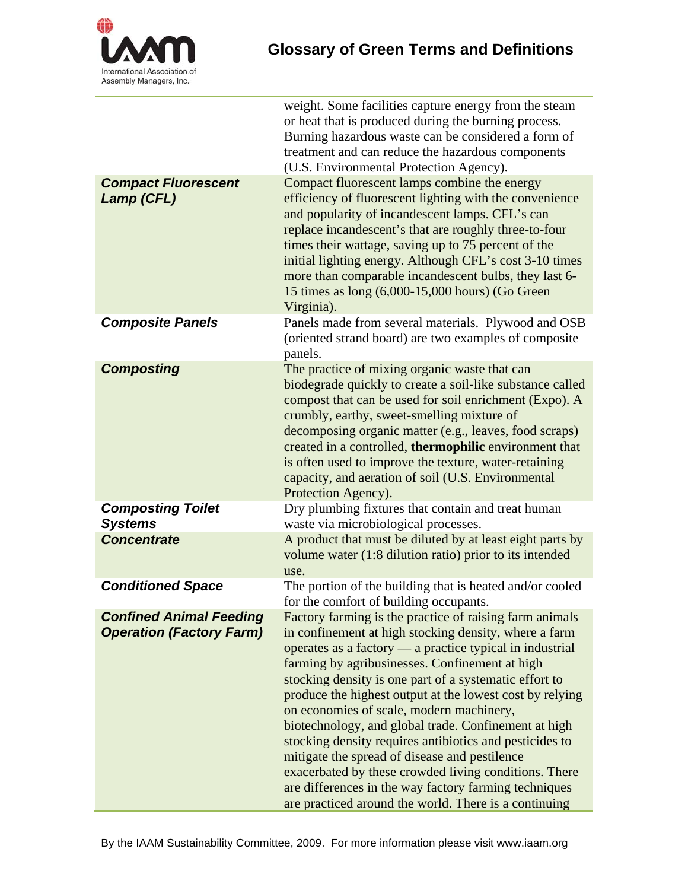

| <b>Compact Fluorescent</b><br>Lamp (CFL)                          | weight. Some facilities capture energy from the steam<br>or heat that is produced during the burning process.<br>Burning hazardous waste can be considered a form of<br>treatment and can reduce the hazardous components<br>(U.S. Environmental Protection Agency).<br>Compact fluorescent lamps combine the energy<br>efficiency of fluorescent lighting with the convenience<br>and popularity of incandescent lamps. CFL's can<br>replace incandescent's that are roughly three-to-four<br>times their wattage, saving up to 75 percent of the<br>initial lighting energy. Although CFL's cost 3-10 times<br>more than comparable incandescent bulbs, they last 6-                                                                          |
|-------------------------------------------------------------------|-------------------------------------------------------------------------------------------------------------------------------------------------------------------------------------------------------------------------------------------------------------------------------------------------------------------------------------------------------------------------------------------------------------------------------------------------------------------------------------------------------------------------------------------------------------------------------------------------------------------------------------------------------------------------------------------------------------------------------------------------|
|                                                                   | 15 times as long (6,000-15,000 hours) (Go Green<br>Virginia).                                                                                                                                                                                                                                                                                                                                                                                                                                                                                                                                                                                                                                                                                   |
| <b>Composite Panels</b>                                           | Panels made from several materials. Plywood and OSB<br>(oriented strand board) are two examples of composite<br>panels.                                                                                                                                                                                                                                                                                                                                                                                                                                                                                                                                                                                                                         |
| <b>Composting</b>                                                 | The practice of mixing organic waste that can<br>biodegrade quickly to create a soil-like substance called<br>compost that can be used for soil enrichment (Expo). A<br>crumbly, earthy, sweet-smelling mixture of<br>decomposing organic matter (e.g., leaves, food scraps)<br>created in a controlled, thermophilic environment that<br>is often used to improve the texture, water-retaining<br>capacity, and aeration of soil (U.S. Environmental<br>Protection Agency).                                                                                                                                                                                                                                                                    |
| <b>Composting Toilet</b><br><b>Systems</b>                        | Dry plumbing fixtures that contain and treat human<br>waste via microbiological processes.                                                                                                                                                                                                                                                                                                                                                                                                                                                                                                                                                                                                                                                      |
| <b>Concentrate</b>                                                | A product that must be diluted by at least eight parts by<br>volume water (1:8 dilution ratio) prior to its intended<br>use.                                                                                                                                                                                                                                                                                                                                                                                                                                                                                                                                                                                                                    |
| <b>Conditioned Space</b>                                          | The portion of the building that is heated and/or cooled<br>for the comfort of building occupants.                                                                                                                                                                                                                                                                                                                                                                                                                                                                                                                                                                                                                                              |
| <b>Confined Animal Feeding</b><br><b>Operation (Factory Farm)</b> | Factory farming is the practice of raising farm animals<br>in confinement at high stocking density, where a farm<br>operates as a factory — a practice typical in industrial<br>farming by agribusinesses. Confinement at high<br>stocking density is one part of a systematic effort to<br>produce the highest output at the lowest cost by relying<br>on economies of scale, modern machinery,<br>biotechnology, and global trade. Confinement at high<br>stocking density requires antibiotics and pesticides to<br>mitigate the spread of disease and pestilence<br>exacerbated by these crowded living conditions. There<br>are differences in the way factory farming techniques<br>are practiced around the world. There is a continuing |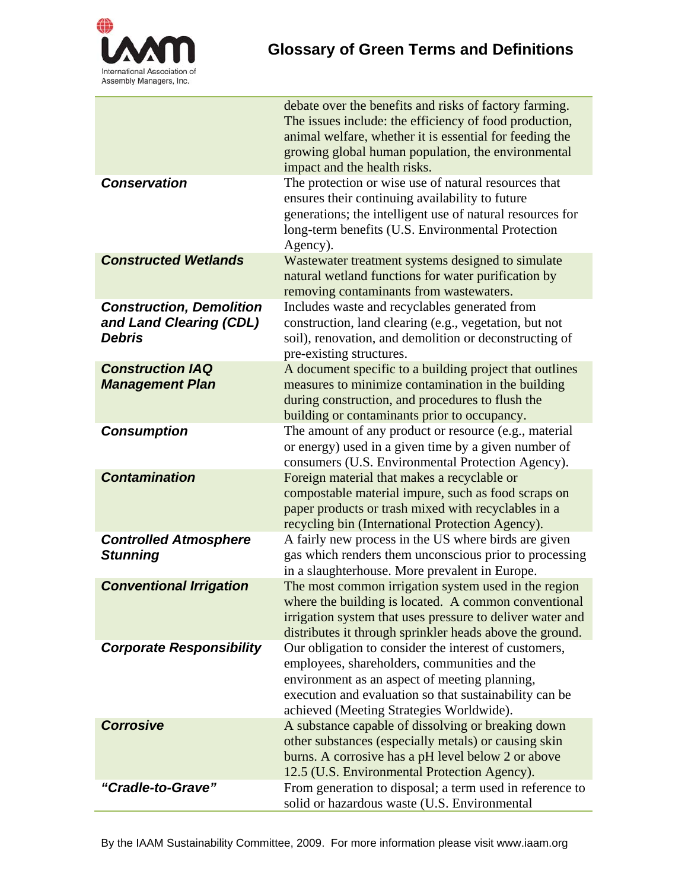

|                                                                             | debate over the benefits and risks of factory farming.<br>The issues include: the efficiency of food production,<br>animal welfare, whether it is essential for feeding the<br>growing global human population, the environmental<br>impact and the health risks. |
|-----------------------------------------------------------------------------|-------------------------------------------------------------------------------------------------------------------------------------------------------------------------------------------------------------------------------------------------------------------|
| <b>Conservation</b>                                                         | The protection or wise use of natural resources that<br>ensures their continuing availability to future<br>generations; the intelligent use of natural resources for<br>long-term benefits (U.S. Environmental Protection<br>Agency).                             |
| <b>Constructed Wetlands</b>                                                 | Wastewater treatment systems designed to simulate<br>natural wetland functions for water purification by<br>removing contaminants from wastewaters.                                                                                                               |
| <b>Construction, Demolition</b><br>and Land Clearing (CDL)<br><b>Debris</b> | Includes waste and recyclables generated from<br>construction, land clearing (e.g., vegetation, but not<br>soil), renovation, and demolition or deconstructing of<br>pre-existing structures.                                                                     |
| <b>Construction IAQ</b><br><b>Management Plan</b>                           | A document specific to a building project that outlines<br>measures to minimize contamination in the building<br>during construction, and procedures to flush the<br>building or contaminants prior to occupancy.                                                 |
| <b>Consumption</b>                                                          | The amount of any product or resource (e.g., material<br>or energy) used in a given time by a given number of<br>consumers (U.S. Environmental Protection Agency).                                                                                                |
| <b>Contamination</b>                                                        | Foreign material that makes a recyclable or<br>compostable material impure, such as food scraps on<br>paper products or trash mixed with recyclables in a<br>recycling bin (International Protection Agency).                                                     |
| <b>Controlled Atmosphere</b><br><b>Stunning</b>                             | A fairly new process in the US where birds are given<br>gas which renders them unconscious prior to processing<br>in a slaughterhouse. More prevalent in Europe.                                                                                                  |
| <b>Conventional Irrigation</b>                                              | The most common irrigation system used in the region<br>where the building is located. A common conventional<br>irrigation system that uses pressure to deliver water and<br>distributes it through sprinkler heads above the ground.                             |
| <b>Corporate Responsibility</b>                                             | Our obligation to consider the interest of customers,<br>employees, shareholders, communities and the<br>environment as an aspect of meeting planning,<br>execution and evaluation so that sustainability can be<br>achieved (Meeting Strategies Worldwide).      |
| <b>Corrosive</b>                                                            | A substance capable of dissolving or breaking down<br>other substances (especially metals) or causing skin<br>burns. A corrosive has a pH level below 2 or above<br>12.5 (U.S. Environmental Protection Agency).                                                  |
| "Cradle-to-Grave"                                                           | From generation to disposal; a term used in reference to<br>solid or hazardous waste (U.S. Environmental                                                                                                                                                          |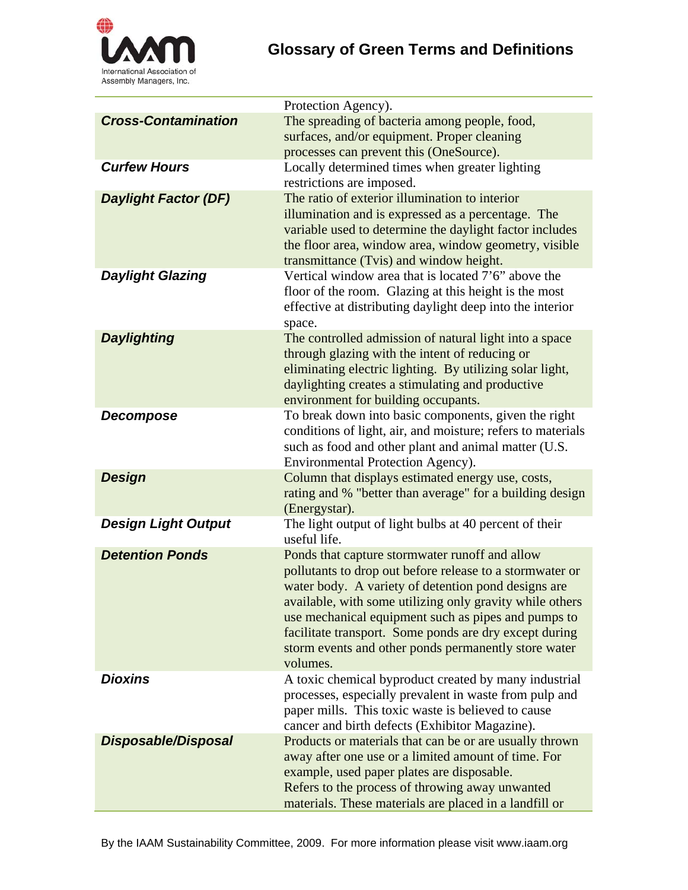

|                             | Protection Agency).                                                                                           |
|-----------------------------|---------------------------------------------------------------------------------------------------------------|
| <b>Cross-Contamination</b>  | The spreading of bacteria among people, food,                                                                 |
|                             | surfaces, and/or equipment. Proper cleaning                                                                   |
|                             | processes can prevent this (OneSource).                                                                       |
| <b>Curfew Hours</b>         | Locally determined times when greater lighting                                                                |
|                             | restrictions are imposed.                                                                                     |
| <b>Daylight Factor (DF)</b> | The ratio of exterior illumination to interior                                                                |
|                             | illumination and is expressed as a percentage. The                                                            |
|                             | variable used to determine the daylight factor includes                                                       |
|                             | the floor area, window area, window geometry, visible                                                         |
|                             | transmittance (Tvis) and window height.                                                                       |
| <b>Daylight Glazing</b>     | Vertical window area that is located 7'6" above the                                                           |
|                             | floor of the room. Glazing at this height is the most                                                         |
|                             | effective at distributing daylight deep into the interior                                                     |
|                             | space.                                                                                                        |
| <b>Daylighting</b>          | The controlled admission of natural light into a space                                                        |
|                             | through glazing with the intent of reducing or                                                                |
|                             | eliminating electric lighting. By utilizing solar light,                                                      |
|                             | daylighting creates a stimulating and productive                                                              |
|                             | environment for building occupants.                                                                           |
| Decompose                   | To break down into basic components, given the right                                                          |
|                             | conditions of light, air, and moisture; refers to materials                                                   |
|                             | such as food and other plant and animal matter (U.S.                                                          |
|                             | Environmental Protection Agency).                                                                             |
| <b>Design</b>               | Column that displays estimated energy use, costs,<br>rating and % "better than average" for a building design |
|                             | (Energystar).                                                                                                 |
| <b>Design Light Output</b>  | The light output of light bulbs at 40 percent of their                                                        |
|                             | useful life.                                                                                                  |
| <b>Detention Ponds</b>      | Ponds that capture stormwater runoff and allow                                                                |
|                             | pollutants to drop out before release to a stormwater or                                                      |
|                             | water body. A variety of detention pond designs are                                                           |
|                             | available, with some utilizing only gravity while others                                                      |
|                             | use mechanical equipment such as pipes and pumps to                                                           |
|                             | facilitate transport. Some ponds are dry except during                                                        |
|                             | storm events and other ponds permanently store water                                                          |
|                             | volumes.                                                                                                      |
| <b>Dioxins</b>              | A toxic chemical byproduct created by many industrial                                                         |
|                             | processes, especially prevalent in waste from pulp and                                                        |
|                             | paper mills. This toxic waste is believed to cause                                                            |
|                             | cancer and birth defects (Exhibitor Magazine).                                                                |
| <b>Disposable/Disposal</b>  | Products or materials that can be or are usually thrown                                                       |
|                             | away after one use or a limited amount of time. For                                                           |
|                             | example, used paper plates are disposable.                                                                    |
|                             | Refers to the process of throwing away unwanted                                                               |
|                             | materials. These materials are placed in a landfill or                                                        |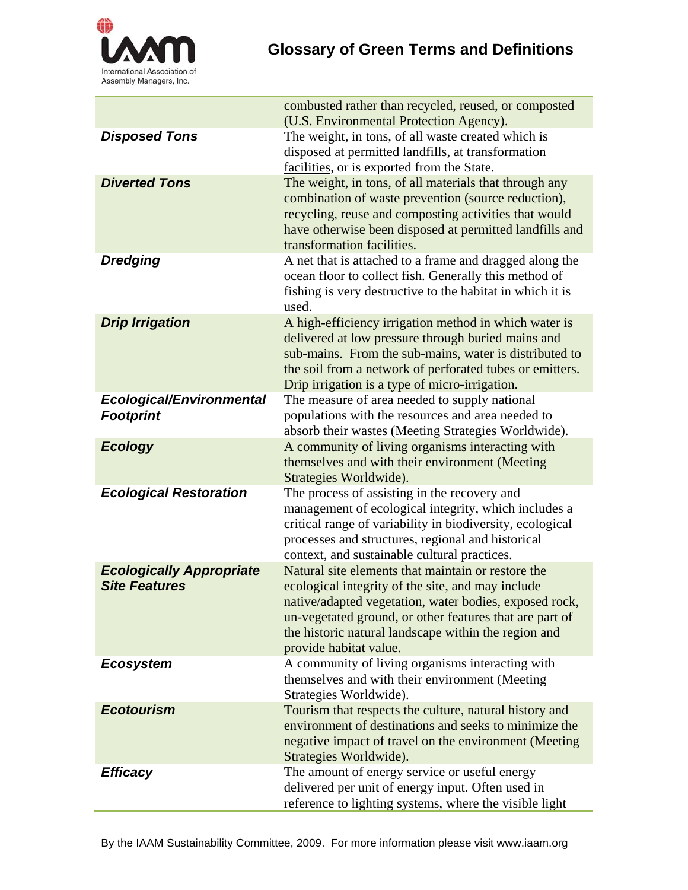

|                                                         | combusted rather than recycled, reused, or composted<br>(U.S. Environmental Protection Agency).                                                                                                                                                                                                                |
|---------------------------------------------------------|----------------------------------------------------------------------------------------------------------------------------------------------------------------------------------------------------------------------------------------------------------------------------------------------------------------|
| <b>Disposed Tons</b>                                    | The weight, in tons, of all waste created which is<br>disposed at permitted landfills, at transformation<br>facilities, or is exported from the State.                                                                                                                                                         |
| <b>Diverted Tons</b>                                    | The weight, in tons, of all materials that through any<br>combination of waste prevention (source reduction),<br>recycling, reuse and composting activities that would<br>have otherwise been disposed at permitted landfills and<br>transformation facilities.                                                |
| <b>Dredging</b>                                         | A net that is attached to a frame and dragged along the<br>ocean floor to collect fish. Generally this method of<br>fishing is very destructive to the habitat in which it is<br>used.                                                                                                                         |
| <b>Drip Irrigation</b>                                  | A high-efficiency irrigation method in which water is<br>delivered at low pressure through buried mains and<br>sub-mains. From the sub-mains, water is distributed to<br>the soil from a network of perforated tubes or emitters.<br>Drip irrigation is a type of micro-irrigation.                            |
| <b>Ecological/Environmental</b><br><b>Footprint</b>     | The measure of area needed to supply national<br>populations with the resources and area needed to<br>absorb their wastes (Meeting Strategies Worldwide).                                                                                                                                                      |
| <b>Ecology</b>                                          | A community of living organisms interacting with<br>themselves and with their environment (Meeting<br>Strategies Worldwide).                                                                                                                                                                                   |
| <b>Ecological Restoration</b>                           | The process of assisting in the recovery and<br>management of ecological integrity, which includes a<br>critical range of variability in biodiversity, ecological<br>processes and structures, regional and historical<br>context, and sustainable cultural practices.                                         |
| <b>Ecologically Appropriate</b><br><b>Site Features</b> | Natural site elements that maintain or restore the<br>ecological integrity of the site, and may include<br>native/adapted vegetation, water bodies, exposed rock,<br>un-vegetated ground, or other features that are part of<br>the historic natural landscape within the region and<br>provide habitat value. |
| <b>Ecosystem</b>                                        | A community of living organisms interacting with<br>themselves and with their environment (Meeting<br>Strategies Worldwide).                                                                                                                                                                                   |
| <b>Ecotourism</b>                                       | Tourism that respects the culture, natural history and<br>environment of destinations and seeks to minimize the<br>negative impact of travel on the environment (Meeting<br>Strategies Worldwide).                                                                                                             |
| <b>Efficacy</b>                                         | The amount of energy service or useful energy<br>delivered per unit of energy input. Often used in<br>reference to lighting systems, where the visible light                                                                                                                                                   |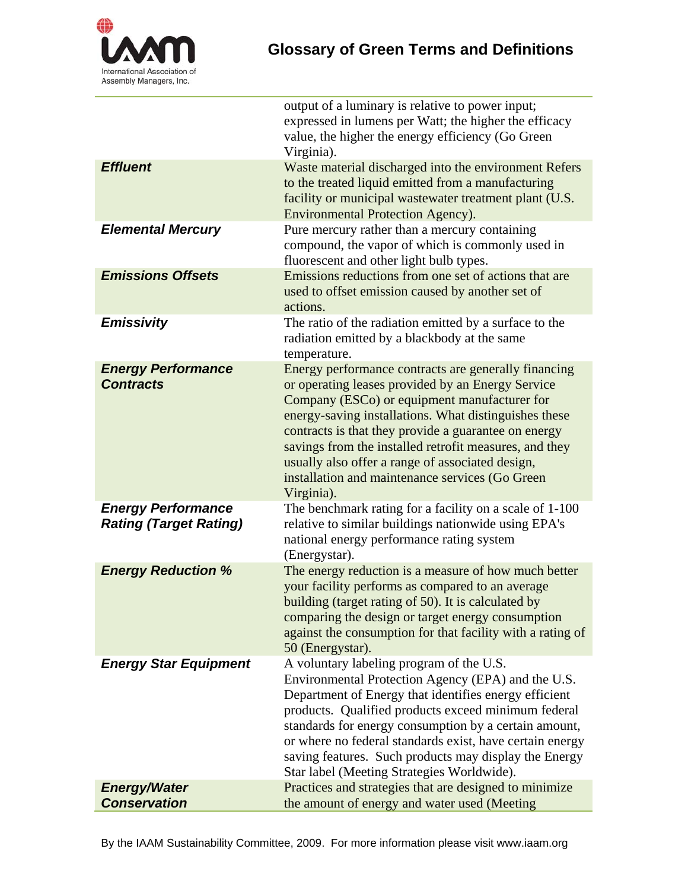

|                                                            | output of a luminary is relative to power input;<br>expressed in lumens per Watt; the higher the efficacy<br>value, the higher the energy efficiency (Go Green<br>Virginia).                                                                                                                                                                                                                                                                              |
|------------------------------------------------------------|-----------------------------------------------------------------------------------------------------------------------------------------------------------------------------------------------------------------------------------------------------------------------------------------------------------------------------------------------------------------------------------------------------------------------------------------------------------|
| <b>Effluent</b>                                            | Waste material discharged into the environment Refers<br>to the treated liquid emitted from a manufacturing<br>facility or municipal wastewater treatment plant (U.S.<br>Environmental Protection Agency).                                                                                                                                                                                                                                                |
| <b>Elemental Mercury</b>                                   | Pure mercury rather than a mercury containing<br>compound, the vapor of which is commonly used in<br>fluorescent and other light bulb types.                                                                                                                                                                                                                                                                                                              |
| <b>Emissions Offsets</b>                                   | Emissions reductions from one set of actions that are<br>used to offset emission caused by another set of<br>actions.                                                                                                                                                                                                                                                                                                                                     |
| <b>Emissivity</b>                                          | The ratio of the radiation emitted by a surface to the<br>radiation emitted by a blackbody at the same<br>temperature.                                                                                                                                                                                                                                                                                                                                    |
| <b>Energy Performance</b><br><b>Contracts</b>              | Energy performance contracts are generally financing<br>or operating leases provided by an Energy Service<br>Company (ESCo) or equipment manufacturer for<br>energy-saving installations. What distinguishes these<br>contracts is that they provide a guarantee on energy<br>savings from the installed retrofit measures, and they<br>usually also offer a range of associated design,<br>installation and maintenance services (Go Green<br>Virginia). |
| <b>Energy Performance</b><br><b>Rating (Target Rating)</b> | The benchmark rating for a facility on a scale of 1-100<br>relative to similar buildings nationwide using EPA's<br>national energy performance rating system<br>(Energystar).                                                                                                                                                                                                                                                                             |
| <b>Energy Reduction %</b>                                  | The energy reduction is a measure of how much better<br>your facility performs as compared to an average<br>building (target rating of 50). It is calculated by<br>comparing the design or target energy consumption<br>against the consumption for that facility with a rating of<br>50 (Energystar).                                                                                                                                                    |
| <b>Energy Star Equipment</b>                               | A voluntary labeling program of the U.S.<br>Environmental Protection Agency (EPA) and the U.S.<br>Department of Energy that identifies energy efficient<br>products. Qualified products exceed minimum federal<br>standards for energy consumption by a certain amount,<br>or where no federal standards exist, have certain energy<br>saving features. Such products may display the Energy<br>Star label (Meeting Strategies Worldwide).                |
| <b>Energy/Water</b><br><b>Conservation</b>                 | Practices and strategies that are designed to minimize<br>the amount of energy and water used (Meeting                                                                                                                                                                                                                                                                                                                                                    |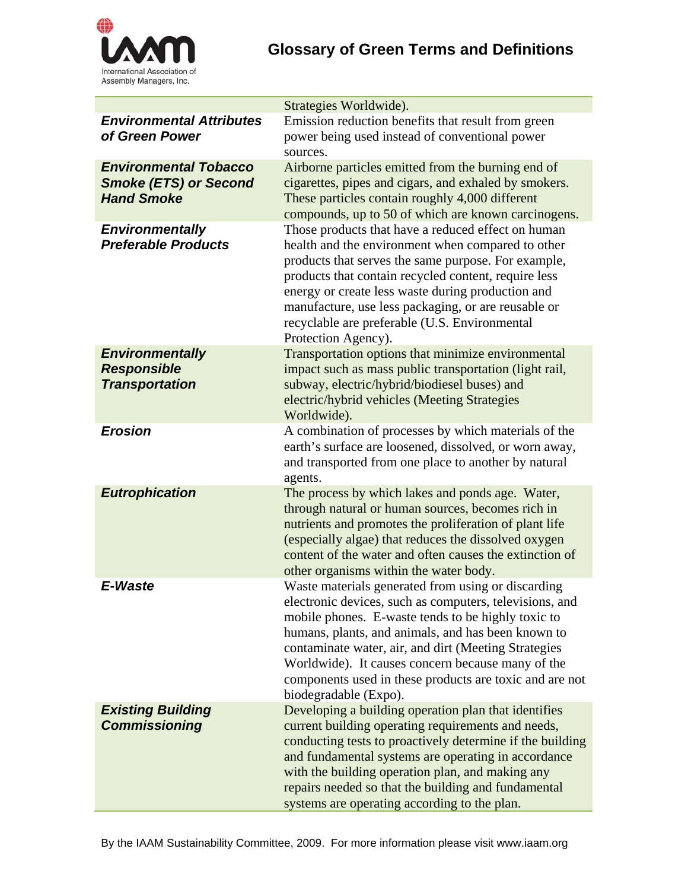

|                                                                                   | Strategies Worldwide).                                                                                                                                                                                                                                                                                                                                                                                                     |
|-----------------------------------------------------------------------------------|----------------------------------------------------------------------------------------------------------------------------------------------------------------------------------------------------------------------------------------------------------------------------------------------------------------------------------------------------------------------------------------------------------------------------|
| <b>Environmental Attributes</b><br>of Green Power                                 | Emission reduction benefits that result from green<br>power being used instead of conventional power<br>sources.                                                                                                                                                                                                                                                                                                           |
| <b>Environmental Tobacco</b><br><b>Smoke (ETS) or Second</b><br><b>Hand Smoke</b> | Airborne particles emitted from the burning end of<br>cigarettes, pipes and cigars, and exhaled by smokers.<br>These particles contain roughly 4,000 different<br>compounds, up to 50 of which are known carcinogens.                                                                                                                                                                                                      |
| <b>Environmentally</b><br><b>Preferable Products</b>                              | Those products that have a reduced effect on human<br>health and the environment when compared to other<br>products that serves the same purpose. For example,<br>products that contain recycled content, require less<br>energy or create less waste during production and<br>manufacture, use less packaging, or are reusable or<br>recyclable are preferable (U.S. Environmental<br>Protection Agency).                 |
| <b>Environmentally</b><br><b>Responsible</b><br><b>Transportation</b>             | Transportation options that minimize environmental<br>impact such as mass public transportation (light rail,<br>subway, electric/hybrid/biodiesel buses) and<br>electric/hybrid vehicles (Meeting Strategies<br>Worldwide).                                                                                                                                                                                                |
| <b>Erosion</b>                                                                    | A combination of processes by which materials of the<br>earth's surface are loosened, dissolved, or worn away,<br>and transported from one place to another by natural<br>agents.                                                                                                                                                                                                                                          |
| <b>Eutrophication</b>                                                             | The process by which lakes and ponds age. Water,<br>through natural or human sources, becomes rich in<br>nutrients and promotes the proliferation of plant life<br>(especially algae) that reduces the dissolved oxygen<br>content of the water and often causes the extinction of<br>other organisms within the water body.                                                                                               |
| E-Waste                                                                           | Waste materials generated from using or discarding<br>electronic devices, such as computers, televisions, and<br>mobile phones. E-waste tends to be highly toxic to<br>humans, plants, and animals, and has been known to<br>contaminate water, air, and dirt (Meeting Strategies<br>Worldwide). It causes concern because many of the<br>components used in these products are toxic and are not<br>biodegradable (Expo). |
| <b>Existing Building</b><br><b>Commissioning</b>                                  | Developing a building operation plan that identifies<br>current building operating requirements and needs,<br>conducting tests to proactively determine if the building<br>and fundamental systems are operating in accordance<br>with the building operation plan, and making any<br>repairs needed so that the building and fundamental<br>systems are operating according to the plan.                                  |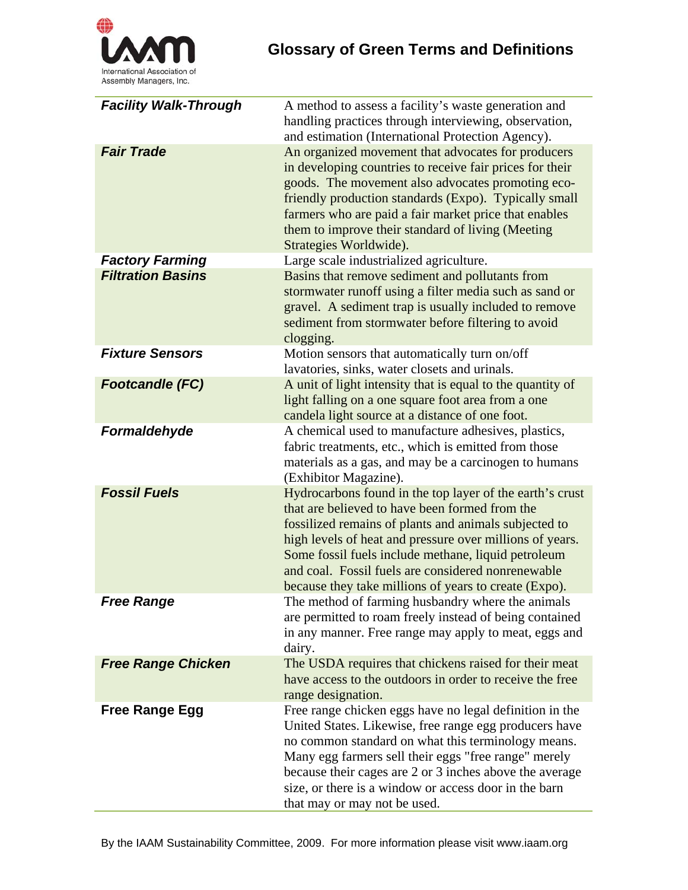

| <b>Facility Walk-Through</b> | A method to assess a facility's waste generation and<br>handling practices through interviewing, observation,<br>and estimation (International Protection Agency).                                                                                                                                                                                                                                    |
|------------------------------|-------------------------------------------------------------------------------------------------------------------------------------------------------------------------------------------------------------------------------------------------------------------------------------------------------------------------------------------------------------------------------------------------------|
| <b>Fair Trade</b>            | An organized movement that advocates for producers<br>in developing countries to receive fair prices for their<br>goods. The movement also advocates promoting eco-<br>friendly production standards (Expo). Typically small<br>farmers who are paid a fair market price that enables<br>them to improve their standard of living (Meeting<br>Strategies Worldwide).                                  |
| <b>Factory Farming</b>       | Large scale industrialized agriculture.                                                                                                                                                                                                                                                                                                                                                               |
| <b>Filtration Basins</b>     | Basins that remove sediment and pollutants from<br>stormwater runoff using a filter media such as sand or<br>gravel. A sediment trap is usually included to remove<br>sediment from stormwater before filtering to avoid<br>clogging.                                                                                                                                                                 |
| <b>Fixture Sensors</b>       | Motion sensors that automatically turn on/off<br>lavatories, sinks, water closets and urinals.                                                                                                                                                                                                                                                                                                        |
| <b>Footcandle (FC)</b>       | A unit of light intensity that is equal to the quantity of<br>light falling on a one square foot area from a one<br>candela light source at a distance of one foot.                                                                                                                                                                                                                                   |
| Formaldehyde                 | A chemical used to manufacture adhesives, plastics,<br>fabric treatments, etc., which is emitted from those<br>materials as a gas, and may be a carcinogen to humans<br>(Exhibitor Magazine).                                                                                                                                                                                                         |
| <b>Fossil Fuels</b>          | Hydrocarbons found in the top layer of the earth's crust<br>that are believed to have been formed from the<br>fossilized remains of plants and animals subjected to<br>high levels of heat and pressure over millions of years.<br>Some fossil fuels include methane, liquid petroleum<br>and coal. Fossil fuels are considered nonrenewable<br>because they take millions of years to create (Expo). |
| <b>Free Range</b>            | The method of farming husbandry where the animals<br>are permitted to roam freely instead of being contained<br>in any manner. Free range may apply to meat, eggs and<br>dairy.                                                                                                                                                                                                                       |
| <b>Free Range Chicken</b>    | The USDA requires that chickens raised for their meat<br>have access to the outdoors in order to receive the free<br>range designation.                                                                                                                                                                                                                                                               |
| <b>Free Range Egg</b>        | Free range chicken eggs have no legal definition in the<br>United States. Likewise, free range egg producers have<br>no common standard on what this terminology means.<br>Many egg farmers sell their eggs "free range" merely<br>because their cages are 2 or 3 inches above the average<br>size, or there is a window or access door in the barn<br>that may or may not be used.                   |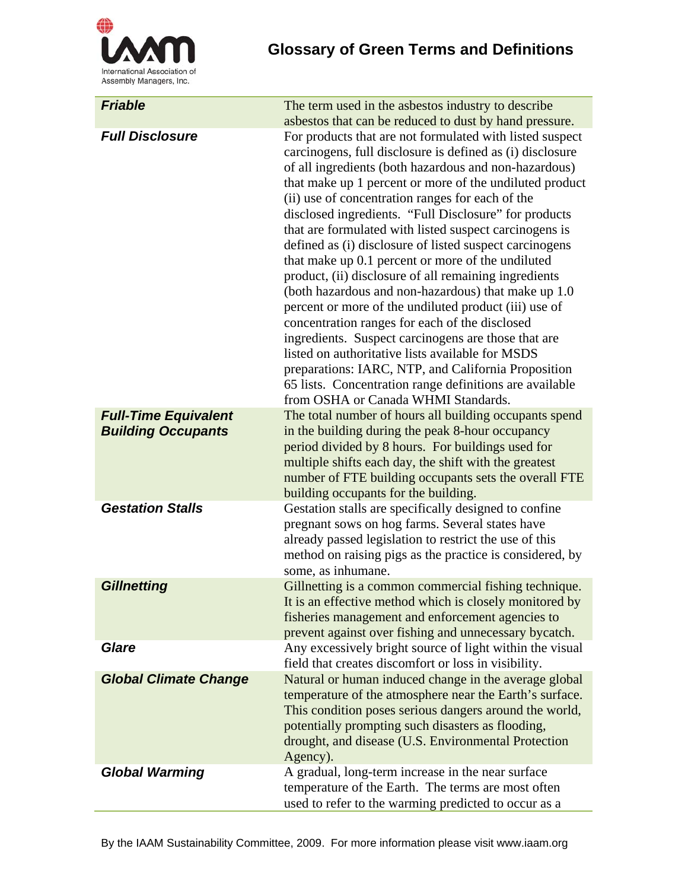

## **Glossary of Green Terms and Definitions**

| <b>Friable</b>                                           | The term used in the asbestos industry to describe                                                                                                                                                                                                                                                                                                                                                                                                                                                                                                                                                                                                                                                                                                                                                                                                                                                                                                                                                                                                                                        |
|----------------------------------------------------------|-------------------------------------------------------------------------------------------------------------------------------------------------------------------------------------------------------------------------------------------------------------------------------------------------------------------------------------------------------------------------------------------------------------------------------------------------------------------------------------------------------------------------------------------------------------------------------------------------------------------------------------------------------------------------------------------------------------------------------------------------------------------------------------------------------------------------------------------------------------------------------------------------------------------------------------------------------------------------------------------------------------------------------------------------------------------------------------------|
| <b>Full Disclosure</b>                                   | asbestos that can be reduced to dust by hand pressure.<br>For products that are not formulated with listed suspect<br>carcinogens, full disclosure is defined as (i) disclosure<br>of all ingredients (both hazardous and non-hazardous)<br>that make up 1 percent or more of the undiluted product<br>(ii) use of concentration ranges for each of the<br>disclosed ingredients. "Full Disclosure" for products<br>that are formulated with listed suspect carcinogens is<br>defined as (i) disclosure of listed suspect carcinogens<br>that make up 0.1 percent or more of the undiluted<br>product, (ii) disclosure of all remaining ingredients<br>(both hazardous and non-hazardous) that make up 1.0<br>percent or more of the undiluted product (iii) use of<br>concentration ranges for each of the disclosed<br>ingredients. Suspect carcinogens are those that are<br>listed on authoritative lists available for MSDS<br>preparations: IARC, NTP, and California Proposition<br>65 lists. Concentration range definitions are available<br>from OSHA or Canada WHMI Standards. |
| <b>Full-Time Equivalent</b><br><b>Building Occupants</b> | The total number of hours all building occupants spend<br>in the building during the peak 8-hour occupancy<br>period divided by 8 hours. For buildings used for<br>multiple shifts each day, the shift with the greatest<br>number of FTE building occupants sets the overall FTE<br>building occupants for the building.                                                                                                                                                                                                                                                                                                                                                                                                                                                                                                                                                                                                                                                                                                                                                                 |
| <b>Gestation Stalls</b>                                  | Gestation stalls are specifically designed to confine<br>pregnant sows on hog farms. Several states have<br>already passed legislation to restrict the use of this<br>method on raising pigs as the practice is considered, by<br>some, as inhumane.                                                                                                                                                                                                                                                                                                                                                                                                                                                                                                                                                                                                                                                                                                                                                                                                                                      |
| <b>Gillnetting</b>                                       | Gillnetting is a common commercial fishing technique.<br>It is an effective method which is closely monitored by<br>fisheries management and enforcement agencies to<br>prevent against over fishing and unnecessary bycatch.                                                                                                                                                                                                                                                                                                                                                                                                                                                                                                                                                                                                                                                                                                                                                                                                                                                             |
| Glare                                                    | Any excessively bright source of light within the visual<br>field that creates discomfort or loss in visibility.                                                                                                                                                                                                                                                                                                                                                                                                                                                                                                                                                                                                                                                                                                                                                                                                                                                                                                                                                                          |
| <b>Global Climate Change</b>                             | Natural or human induced change in the average global<br>temperature of the atmosphere near the Earth's surface.<br>This condition poses serious dangers around the world,<br>potentially prompting such disasters as flooding,<br>drought, and disease (U.S. Environmental Protection<br>Agency).                                                                                                                                                                                                                                                                                                                                                                                                                                                                                                                                                                                                                                                                                                                                                                                        |
| <b>Global Warming</b>                                    | A gradual, long-term increase in the near surface<br>temperature of the Earth. The terms are most often<br>used to refer to the warming predicted to occur as a                                                                                                                                                                                                                                                                                                                                                                                                                                                                                                                                                                                                                                                                                                                                                                                                                                                                                                                           |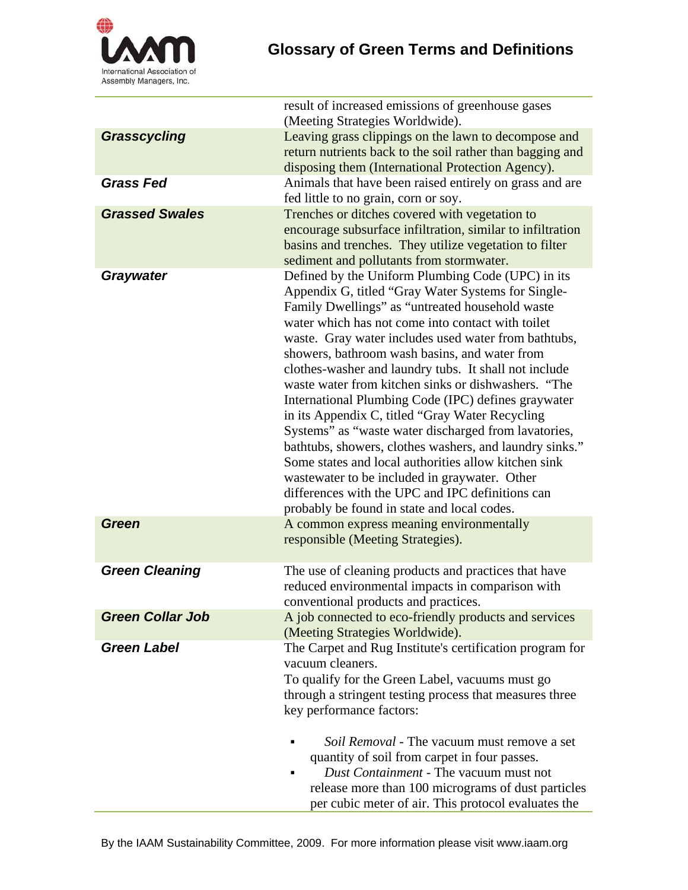

|                         | result of increased emissions of greenhouse gases<br>(Meeting Strategies Worldwide).                                 |
|-------------------------|----------------------------------------------------------------------------------------------------------------------|
| Grasscycling            | Leaving grass clippings on the lawn to decompose and                                                                 |
|                         | return nutrients back to the soil rather than bagging and                                                            |
|                         | disposing them (International Protection Agency).                                                                    |
| <b>Grass Fed</b>        | Animals that have been raised entirely on grass and are                                                              |
|                         | fed little to no grain, corn or soy.                                                                                 |
| <b>Grassed Swales</b>   | Trenches or ditches covered with vegetation to                                                                       |
|                         | encourage subsurface infiltration, similar to infiltration<br>basins and trenches. They utilize vegetation to filter |
|                         | sediment and pollutants from stormwater.                                                                             |
| <b>Graywater</b>        | Defined by the Uniform Plumbing Code (UPC) in its                                                                    |
|                         | Appendix G, titled "Gray Water Systems for Single-                                                                   |
|                         | Family Dwellings" as "untreated household waste                                                                      |
|                         | water which has not come into contact with toilet                                                                    |
|                         | waste. Gray water includes used water from bathtubs,                                                                 |
|                         | showers, bathroom wash basins, and water from                                                                        |
|                         | clothes-washer and laundry tubs. It shall not include<br>waste water from kitchen sinks or dishwashers. "The         |
|                         | International Plumbing Code (IPC) defines graywater                                                                  |
|                         | in its Appendix C, titled "Gray Water Recycling                                                                      |
|                         | Systems" as "waste water discharged from lavatories,                                                                 |
|                         | bathtubs, showers, clothes washers, and laundry sinks."                                                              |
|                         | Some states and local authorities allow kitchen sink                                                                 |
|                         | wastewater to be included in graywater. Other                                                                        |
|                         | differences with the UPC and IPC definitions can                                                                     |
|                         | probably be found in state and local codes.                                                                          |
| Green                   | A common express meaning environmentally                                                                             |
|                         | responsible (Meeting Strategies).                                                                                    |
| <b>Green Cleaning</b>   | The use of cleaning products and practices that have                                                                 |
|                         | reduced environmental impacts in comparison with                                                                     |
|                         | conventional products and practices.                                                                                 |
| <b>Green Collar Job</b> | A job connected to eco-friendly products and services                                                                |
|                         | (Meeting Strategies Worldwide).                                                                                      |
| <b>Green Label</b>      | The Carpet and Rug Institute's certification program for                                                             |
|                         | vacuum cleaners.                                                                                                     |
|                         | To qualify for the Green Label, vacuums must go                                                                      |
|                         | through a stringent testing process that measures three                                                              |
|                         | key performance factors:                                                                                             |
|                         | Soil Removal - The vacuum must remove a set                                                                          |
|                         | quantity of soil from carpet in four passes.                                                                         |
|                         | Dust Containment - The vacuum must not                                                                               |
|                         | release more than 100 micrograms of dust particles                                                                   |
|                         | per cubic meter of air. This protocol evaluates the                                                                  |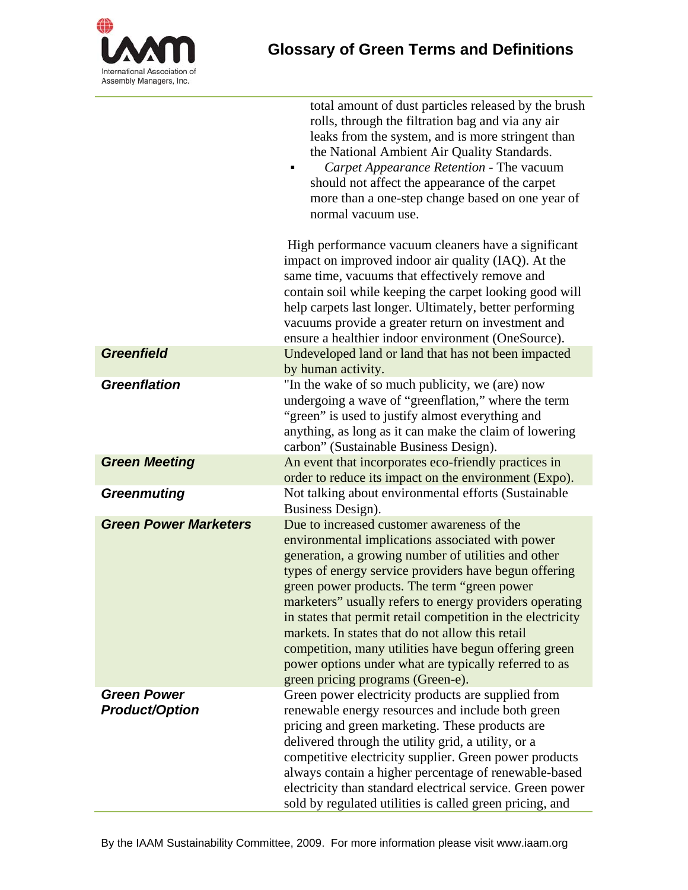

|                                             | total amount of dust particles released by the brush<br>rolls, through the filtration bag and via any air<br>leaks from the system, and is more stringent than<br>the National Ambient Air Quality Standards.<br>Carpet Appearance Retention - The vacuum<br>should not affect the appearance of the carpet<br>more than a one-step change based on one year of<br>normal vacuum use.                                                                                                                                                                                                              |
|---------------------------------------------|----------------------------------------------------------------------------------------------------------------------------------------------------------------------------------------------------------------------------------------------------------------------------------------------------------------------------------------------------------------------------------------------------------------------------------------------------------------------------------------------------------------------------------------------------------------------------------------------------|
|                                             | High performance vacuum cleaners have a significant<br>impact on improved indoor air quality (IAQ). At the<br>same time, vacuums that effectively remove and<br>contain soil while keeping the carpet looking good will<br>help carpets last longer. Ultimately, better performing<br>vacuums provide a greater return on investment and<br>ensure a healthier indoor environment (OneSource).                                                                                                                                                                                                     |
| <b>Greenfield</b>                           | Undeveloped land or land that has not been impacted<br>by human activity.                                                                                                                                                                                                                                                                                                                                                                                                                                                                                                                          |
| <b>Greenflation</b>                         | "In the wake of so much publicity, we (are) now<br>undergoing a wave of "greenflation," where the term<br>"green" is used to justify almost everything and<br>anything, as long as it can make the claim of lowering<br>carbon" (Sustainable Business Design).                                                                                                                                                                                                                                                                                                                                     |
| <b>Green Meeting</b>                        | An event that incorporates eco-friendly practices in<br>order to reduce its impact on the environment (Expo).                                                                                                                                                                                                                                                                                                                                                                                                                                                                                      |
| <b>Greenmuting</b>                          | Not talking about environmental efforts (Sustainable<br>Business Design).                                                                                                                                                                                                                                                                                                                                                                                                                                                                                                                          |
| <b>Green Power Marketers</b>                | Due to increased customer awareness of the<br>environmental implications associated with power<br>generation, a growing number of utilities and other<br>types of energy service providers have begun offering<br>green power products. The term "green power<br>marketers" usually refers to energy providers operating<br>in states that permit retail competition in the electricity<br>markets. In states that do not allow this retail<br>competition, many utilities have begun offering green<br>power options under what are typically referred to as<br>green pricing programs (Green-e). |
| <b>Green Power</b><br><b>Product/Option</b> | Green power electricity products are supplied from<br>renewable energy resources and include both green<br>pricing and green marketing. These products are<br>delivered through the utility grid, a utility, or a<br>competitive electricity supplier. Green power products<br>always contain a higher percentage of renewable-based<br>electricity than standard electrical service. Green power<br>sold by regulated utilities is called green pricing, and                                                                                                                                      |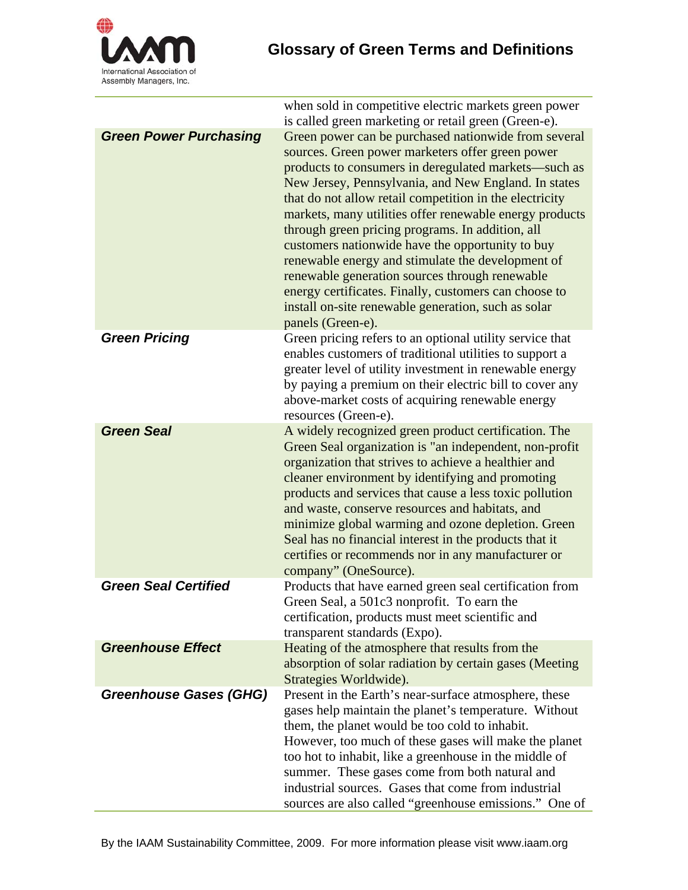

|                               | when sold in competitive electric markets green power<br>is called green marketing or retail green (Green-e).                                                                                                                                                                                                                                                                                                                                                                                                                                                                                                                                                                                      |
|-------------------------------|----------------------------------------------------------------------------------------------------------------------------------------------------------------------------------------------------------------------------------------------------------------------------------------------------------------------------------------------------------------------------------------------------------------------------------------------------------------------------------------------------------------------------------------------------------------------------------------------------------------------------------------------------------------------------------------------------|
| <b>Green Power Purchasing</b> | Green power can be purchased nationwide from several<br>sources. Green power marketers offer green power<br>products to consumers in deregulated markets—such as<br>New Jersey, Pennsylvania, and New England. In states<br>that do not allow retail competition in the electricity<br>markets, many utilities offer renewable energy products<br>through green pricing programs. In addition, all<br>customers nationwide have the opportunity to buy<br>renewable energy and stimulate the development of<br>renewable generation sources through renewable<br>energy certificates. Finally, customers can choose to<br>install on-site renewable generation, such as solar<br>panels (Green-e). |
| <b>Green Pricing</b>          | Green pricing refers to an optional utility service that<br>enables customers of traditional utilities to support a<br>greater level of utility investment in renewable energy<br>by paying a premium on their electric bill to cover any<br>above-market costs of acquiring renewable energy<br>resources (Green-e).                                                                                                                                                                                                                                                                                                                                                                              |
| <b>Green Seal</b>             | A widely recognized green product certification. The<br>Green Seal organization is "an independent, non-profit<br>organization that strives to achieve a healthier and<br>cleaner environment by identifying and promoting<br>products and services that cause a less toxic pollution<br>and waste, conserve resources and habitats, and<br>minimize global warming and ozone depletion. Green<br>Seal has no financial interest in the products that it<br>certifies or recommends nor in any manufacturer or<br>company" (OneSource).                                                                                                                                                            |
| <b>Green Seal Certified</b>   | Products that have earned green seal certification from<br>Green Seal, a 501c3 nonprofit. To earn the<br>certification, products must meet scientific and<br>transparent standards (Expo).                                                                                                                                                                                                                                                                                                                                                                                                                                                                                                         |
| <b>Greenhouse Effect</b>      | Heating of the atmosphere that results from the<br>absorption of solar radiation by certain gases (Meeting<br>Strategies Worldwide).                                                                                                                                                                                                                                                                                                                                                                                                                                                                                                                                                               |
| <b>Greenhouse Gases (GHG)</b> | Present in the Earth's near-surface atmosphere, these<br>gases help maintain the planet's temperature. Without<br>them, the planet would be too cold to inhabit.<br>However, too much of these gases will make the planet<br>too hot to inhabit, like a greenhouse in the middle of<br>summer. These gases come from both natural and<br>industrial sources. Gases that come from industrial<br>sources are also called "greenhouse emissions." One of                                                                                                                                                                                                                                             |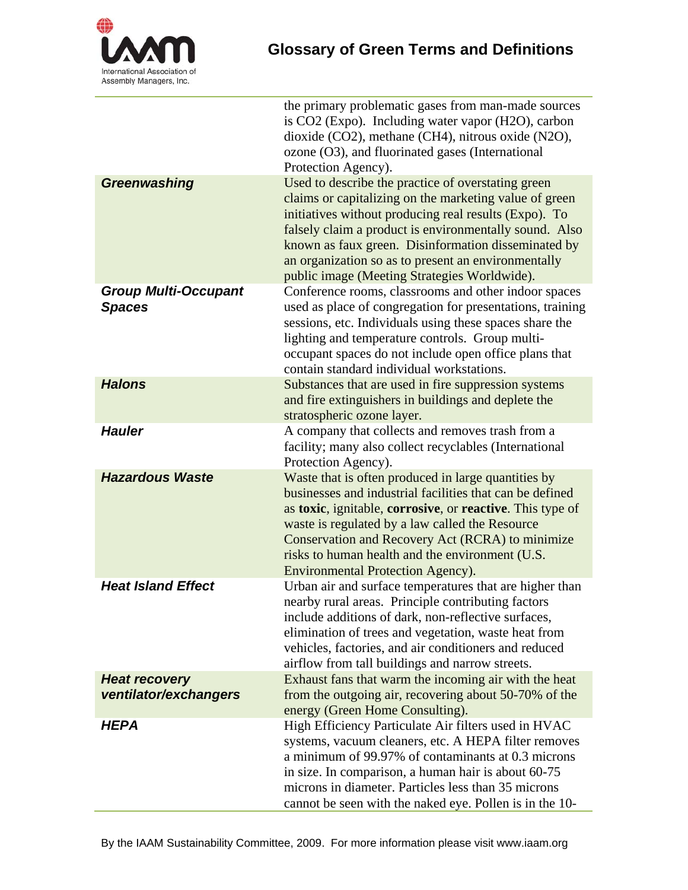

|                                               | the primary problematic gases from man-made sources<br>is CO2 (Expo). Including water vapor (H2O), carbon<br>dioxide (CO2), methane (CH4), nitrous oxide (N2O),<br>ozone (O3), and fluorinated gases (International<br>Protection Agency).                                                                                                                                                    |
|-----------------------------------------------|-----------------------------------------------------------------------------------------------------------------------------------------------------------------------------------------------------------------------------------------------------------------------------------------------------------------------------------------------------------------------------------------------|
| Greenwashing                                  | Used to describe the practice of overstating green<br>claims or capitalizing on the marketing value of green<br>initiatives without producing real results (Expo). To<br>falsely claim a product is environmentally sound. Also<br>known as faux green. Disinformation disseminated by<br>an organization so as to present an environmentally<br>public image (Meeting Strategies Worldwide). |
| <b>Group Multi-Occupant</b><br><b>Spaces</b>  | Conference rooms, classrooms and other indoor spaces<br>used as place of congregation for presentations, training<br>sessions, etc. Individuals using these spaces share the<br>lighting and temperature controls. Group multi-<br>occupant spaces do not include open office plans that<br>contain standard individual workstations.                                                         |
| <b>Halons</b>                                 | Substances that are used in fire suppression systems<br>and fire extinguishers in buildings and deplete the<br>stratospheric ozone layer.                                                                                                                                                                                                                                                     |
| <b>Hauler</b>                                 | A company that collects and removes trash from a<br>facility; many also collect recyclables (International<br>Protection Agency).                                                                                                                                                                                                                                                             |
| <b>Hazardous Waste</b>                        | Waste that is often produced in large quantities by<br>businesses and industrial facilities that can be defined<br>as toxic, ignitable, corrosive, or reactive. This type of<br>waste is regulated by a law called the Resource<br>Conservation and Recovery Act (RCRA) to minimize<br>risks to human health and the environment (U.S.<br><b>Environmental Protection Agency).</b>            |
| <b>Heat Island Effect</b>                     | Urban air and surface temperatures that are higher than<br>nearby rural areas. Principle contributing factors<br>include additions of dark, non-reflective surfaces,<br>elimination of trees and vegetation, waste heat from<br>vehicles, factories, and air conditioners and reduced<br>airflow from tall buildings and narrow streets.                                                      |
| <b>Heat recovery</b><br>ventilator/exchangers | Exhaust fans that warm the incoming air with the heat<br>from the outgoing air, recovering about 50-70% of the<br>energy (Green Home Consulting).                                                                                                                                                                                                                                             |
| <b>HEPA</b>                                   | High Efficiency Particulate Air filters used in HVAC<br>systems, vacuum cleaners, etc. A HEPA filter removes<br>a minimum of 99.97% of contaminants at 0.3 microns<br>in size. In comparison, a human hair is about 60-75<br>microns in diameter. Particles less than 35 microns<br>cannot be seen with the naked eye. Pollen is in the 10-                                                   |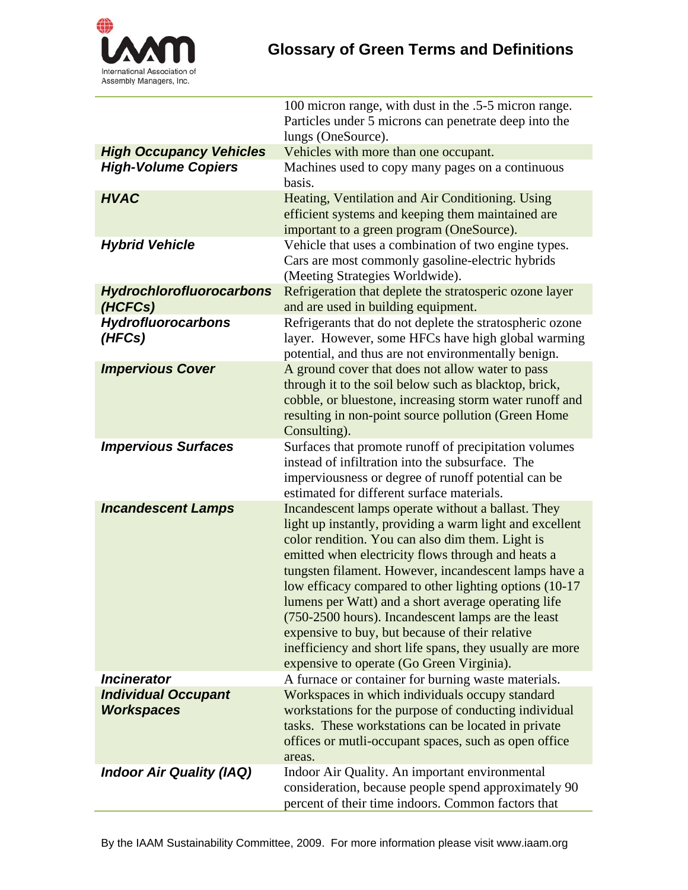

|                                                 | 100 micron range, with dust in the .5-5 micron range.                                                                                                                                                                                                                                                                                                                                                                                                                                                                                                                                                                 |
|-------------------------------------------------|-----------------------------------------------------------------------------------------------------------------------------------------------------------------------------------------------------------------------------------------------------------------------------------------------------------------------------------------------------------------------------------------------------------------------------------------------------------------------------------------------------------------------------------------------------------------------------------------------------------------------|
|                                                 | Particles under 5 microns can penetrate deep into the                                                                                                                                                                                                                                                                                                                                                                                                                                                                                                                                                                 |
|                                                 | lungs (OneSource).                                                                                                                                                                                                                                                                                                                                                                                                                                                                                                                                                                                                    |
| <b>High Occupancy Vehicles</b>                  | Vehicles with more than one occupant.                                                                                                                                                                                                                                                                                                                                                                                                                                                                                                                                                                                 |
| <b>High-Volume Copiers</b>                      | Machines used to copy many pages on a continuous<br>basis.                                                                                                                                                                                                                                                                                                                                                                                                                                                                                                                                                            |
| <b>HVAC</b>                                     | Heating, Ventilation and Air Conditioning. Using<br>efficient systems and keeping them maintained are<br>important to a green program (OneSource).                                                                                                                                                                                                                                                                                                                                                                                                                                                                    |
| <b>Hybrid Vehicle</b>                           | Vehicle that uses a combination of two engine types.<br>Cars are most commonly gasoline-electric hybrids<br>(Meeting Strategies Worldwide).                                                                                                                                                                                                                                                                                                                                                                                                                                                                           |
| <b>Hydrochlorofluorocarbons</b><br>(HCFCs)      | Refrigeration that deplete the stratosperic ozone layer<br>and are used in building equipment.                                                                                                                                                                                                                                                                                                                                                                                                                                                                                                                        |
| <b>Hydrofluorocarbons</b><br>(HFCs)             | Refrigerants that do not deplete the stratospheric ozone<br>layer. However, some HFCs have high global warming<br>potential, and thus are not environmentally benign.                                                                                                                                                                                                                                                                                                                                                                                                                                                 |
| <b>Impervious Cover</b>                         | A ground cover that does not allow water to pass<br>through it to the soil below such as blacktop, brick,<br>cobble, or bluestone, increasing storm water runoff and<br>resulting in non-point source pollution (Green Home<br>Consulting).                                                                                                                                                                                                                                                                                                                                                                           |
| <b>Impervious Surfaces</b>                      | Surfaces that promote runoff of precipitation volumes<br>instead of infiltration into the subsurface. The<br>imperviousness or degree of runoff potential can be<br>estimated for different surface materials.                                                                                                                                                                                                                                                                                                                                                                                                        |
| <b>Incandescent Lamps</b>                       | Incandescent lamps operate without a ballast. They<br>light up instantly, providing a warm light and excellent<br>color rendition. You can also dim them. Light is<br>emitted when electricity flows through and heats a<br>tungsten filament. However, incandescent lamps have a<br>low efficacy compared to other lighting options (10-17)<br>lumens per Watt) and a short average operating life<br>(750-2500 hours). Incandescent lamps are the least<br>expensive to buy, but because of their relative<br>inefficiency and short life spans, they usually are more<br>expensive to operate (Go Green Virginia). |
| <b>Incinerator</b>                              | A furnace or container for burning waste materials.                                                                                                                                                                                                                                                                                                                                                                                                                                                                                                                                                                   |
| <b>Individual Occupant</b><br><b>Workspaces</b> | Workspaces in which individuals occupy standard<br>workstations for the purpose of conducting individual<br>tasks. These workstations can be located in private<br>offices or mutli-occupant spaces, such as open office<br>areas.                                                                                                                                                                                                                                                                                                                                                                                    |
| <b>Indoor Air Quality (IAQ)</b>                 | Indoor Air Quality. An important environmental<br>consideration, because people spend approximately 90<br>percent of their time indoors. Common factors that                                                                                                                                                                                                                                                                                                                                                                                                                                                          |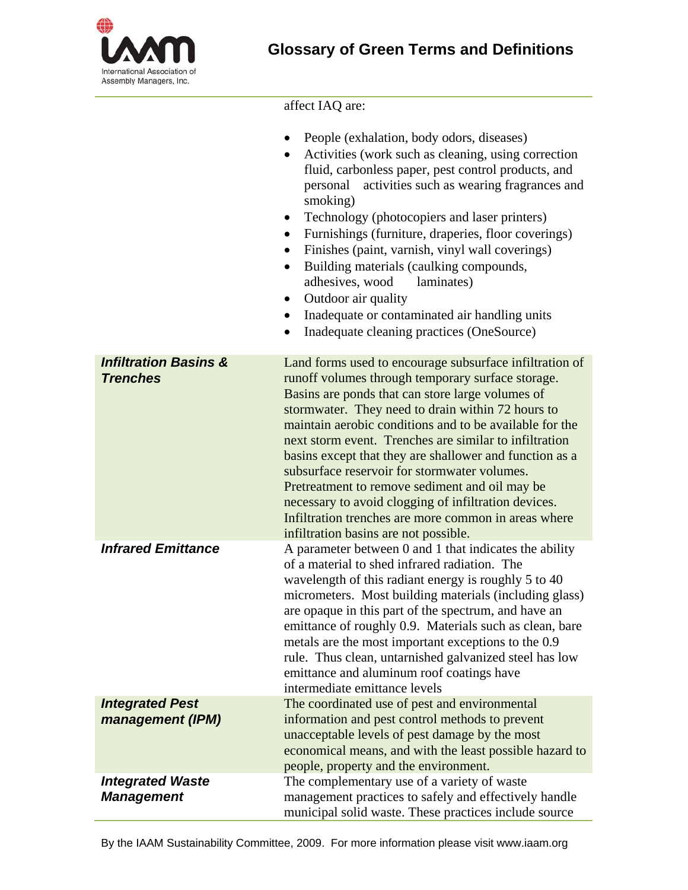

## affect IAQ are:

|                                                     | People (exhalation, body odors, diseases)<br>Activities (work such as cleaning, using correction<br>fluid, carbonless paper, pest control products, and<br>activities such as wearing fragrances and<br>personal<br>smoking)<br>Technology (photocopiers and laser printers)<br>$\bullet$<br>Furnishings (furniture, draperies, floor coverings)<br>$\bullet$<br>Finishes (paint, varnish, vinyl wall coverings)<br>Building materials (caulking compounds,<br>$\bullet$<br>adhesives, wood<br>laminates)<br>Outdoor air quality<br>$\bullet$<br>Inadequate or contaminated air handling units<br>$\bullet$<br>Inadequate cleaning practices (OneSource)<br>$\bullet$ |
|-----------------------------------------------------|-----------------------------------------------------------------------------------------------------------------------------------------------------------------------------------------------------------------------------------------------------------------------------------------------------------------------------------------------------------------------------------------------------------------------------------------------------------------------------------------------------------------------------------------------------------------------------------------------------------------------------------------------------------------------|
| <b>Infiltration Basins &amp;</b><br><b>Trenches</b> | Land forms used to encourage subsurface infiltration of<br>runoff volumes through temporary surface storage.<br>Basins are ponds that can store large volumes of<br>stormwater. They need to drain within 72 hours to<br>maintain aerobic conditions and to be available for the<br>next storm event. Trenches are similar to infiltration<br>basins except that they are shallower and function as a<br>subsurface reservoir for stormwater volumes.<br>Pretreatment to remove sediment and oil may be<br>necessary to avoid clogging of infiltration devices.<br>Infiltration trenches are more common in areas where<br>infiltration basins are not possible.      |
| <b>Infrared Emittance</b>                           | A parameter between 0 and 1 that indicates the ability<br>of a material to shed infrared radiation. The<br>wavelength of this radiant energy is roughly 5 to 40<br>micrometers. Most building materials (including glass)<br>are opaque in this part of the spectrum, and have an<br>emittance of roughly 0.9. Materials such as clean, bare<br>metals are the most important exceptions to the 0.9<br>rule. Thus clean, untarnished galvanized steel has low<br>emittance and aluminum roof coatings have<br>intermediate emittance levels                                                                                                                           |
| <b>Integrated Pest</b><br>management (IPM)          | The coordinated use of pest and environmental<br>information and pest control methods to prevent<br>unacceptable levels of pest damage by the most<br>economical means, and with the least possible hazard to<br>people, property and the environment.                                                                                                                                                                                                                                                                                                                                                                                                                |
| <b>Integrated Waste</b><br><b>Management</b>        | The complementary use of a variety of waste<br>management practices to safely and effectively handle<br>municipal solid waste. These practices include source                                                                                                                                                                                                                                                                                                                                                                                                                                                                                                         |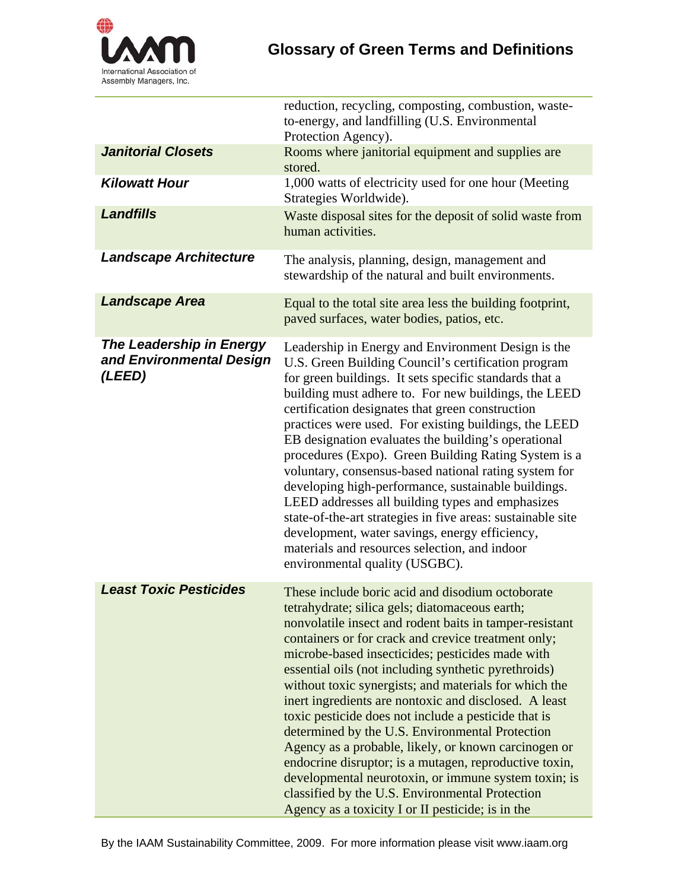

|                                                                       | reduction, recycling, composting, combustion, waste-<br>to-energy, and landfilling (U.S. Environmental<br>Protection Agency).                                                                                                                                                                                                                                                                                                                                                                                                                                                                                                                                                                                                                                                                                                                   |
|-----------------------------------------------------------------------|-------------------------------------------------------------------------------------------------------------------------------------------------------------------------------------------------------------------------------------------------------------------------------------------------------------------------------------------------------------------------------------------------------------------------------------------------------------------------------------------------------------------------------------------------------------------------------------------------------------------------------------------------------------------------------------------------------------------------------------------------------------------------------------------------------------------------------------------------|
| <b>Janitorial Closets</b>                                             | Rooms where janitorial equipment and supplies are<br>stored.                                                                                                                                                                                                                                                                                                                                                                                                                                                                                                                                                                                                                                                                                                                                                                                    |
| <b>Kilowatt Hour</b>                                                  | 1,000 watts of electricity used for one hour (Meeting<br>Strategies Worldwide).                                                                                                                                                                                                                                                                                                                                                                                                                                                                                                                                                                                                                                                                                                                                                                 |
| <b>Landfills</b>                                                      | Waste disposal sites for the deposit of solid waste from<br>human activities.                                                                                                                                                                                                                                                                                                                                                                                                                                                                                                                                                                                                                                                                                                                                                                   |
| <b>Landscape Architecture</b>                                         | The analysis, planning, design, management and<br>stewardship of the natural and built environments.                                                                                                                                                                                                                                                                                                                                                                                                                                                                                                                                                                                                                                                                                                                                            |
| <b>Landscape Area</b>                                                 | Equal to the total site area less the building footprint,<br>paved surfaces, water bodies, patios, etc.                                                                                                                                                                                                                                                                                                                                                                                                                                                                                                                                                                                                                                                                                                                                         |
| <b>The Leadership in Energy</b><br>and Environmental Design<br>(LEED) | Leadership in Energy and Environment Design is the<br>U.S. Green Building Council's certification program<br>for green buildings. It sets specific standards that a<br>building must adhere to. For new buildings, the LEED<br>certification designates that green construction<br>practices were used. For existing buildings, the LEED<br>EB designation evaluates the building's operational<br>procedures (Expo). Green Building Rating System is a<br>voluntary, consensus-based national rating system for<br>developing high-performance, sustainable buildings.<br>LEED addresses all building types and emphasizes<br>state-of-the-art strategies in five areas: sustainable site<br>development, water savings, energy efficiency,<br>materials and resources selection, and indoor<br>environmental quality (USGBC).                 |
| <b>Least Toxic Pesticides</b>                                         | These include boric acid and disodium octoborate<br>tetrahydrate; silica gels; diatomaceous earth;<br>nonvolatile insect and rodent baits in tamper-resistant<br>containers or for crack and crevice treatment only;<br>microbe-based insecticides; pesticides made with<br>essential oils (not including synthetic pyrethroids)<br>without toxic synergists; and materials for which the<br>inert ingredients are nontoxic and disclosed. A least<br>toxic pesticide does not include a pesticide that is<br>determined by the U.S. Environmental Protection<br>Agency as a probable, likely, or known carcinogen or<br>endocrine disruptor; is a mutagen, reproductive toxin,<br>developmental neurotoxin, or immune system toxin; is<br>classified by the U.S. Environmental Protection<br>Agency as a toxicity I or II pesticide; is in the |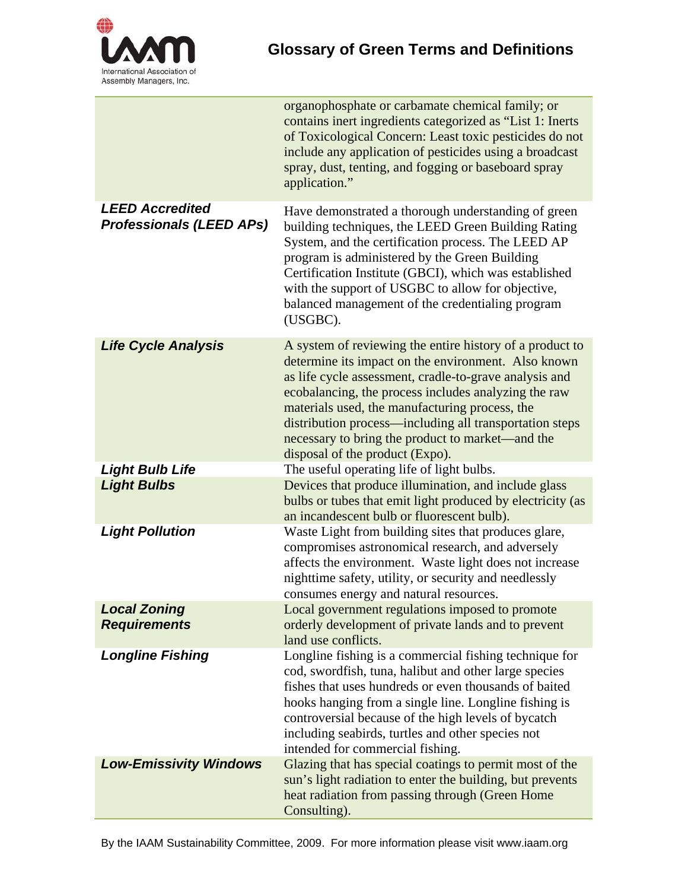

|                                                           | organophosphate or carbamate chemical family; or<br>contains inert ingredients categorized as "List 1: Inerts<br>of Toxicological Concern: Least toxic pesticides do not<br>include any application of pesticides using a broadcast<br>spray, dust, tenting, and fogging or baseboard spray<br>application."                                                                                                                          |
|-----------------------------------------------------------|---------------------------------------------------------------------------------------------------------------------------------------------------------------------------------------------------------------------------------------------------------------------------------------------------------------------------------------------------------------------------------------------------------------------------------------|
| <b>LEED Accredited</b><br><b>Professionals (LEED APs)</b> | Have demonstrated a thorough understanding of green<br>building techniques, the LEED Green Building Rating<br>System, and the certification process. The LEED AP<br>program is administered by the Green Building<br>Certification Institute (GBCI), which was established<br>with the support of USGBC to allow for objective,<br>balanced management of the credentialing program<br>(USGBC).                                       |
| <b>Life Cycle Analysis</b>                                | A system of reviewing the entire history of a product to<br>determine its impact on the environment. Also known<br>as life cycle assessment, cradle-to-grave analysis and<br>ecobalancing, the process includes analyzing the raw<br>materials used, the manufacturing process, the<br>distribution process—including all transportation steps<br>necessary to bring the product to market—and the<br>disposal of the product (Expo). |
| <b>Light Bulb Life</b>                                    | The useful operating life of light bulbs.                                                                                                                                                                                                                                                                                                                                                                                             |
| <b>Light Bulbs</b>                                        | Devices that produce illumination, and include glass<br>bulbs or tubes that emit light produced by electricity (as<br>an incandescent bulb or fluorescent bulb).                                                                                                                                                                                                                                                                      |
| <b>Light Pollution</b>                                    | Waste Light from building sites that produces glare,<br>compromises astronomical research, and adversely<br>affects the environment. Waste light does not increase<br>nighttime safety, utility, or security and needlessly<br>consumes energy and natural resources.                                                                                                                                                                 |
| <b>Local Zoning</b><br><b>Requirements</b>                | Local government regulations imposed to promote<br>orderly development of private lands and to prevent<br>land use conflicts.                                                                                                                                                                                                                                                                                                         |
| <b>Longline Fishing</b>                                   | Longline fishing is a commercial fishing technique for<br>cod, swordfish, tuna, halibut and other large species<br>fishes that uses hundreds or even thousands of baited<br>hooks hanging from a single line. Longline fishing is<br>controversial because of the high levels of bycatch<br>including seabirds, turtles and other species not<br>intended for commercial fishing.                                                     |
| <b>Low-Emissivity Windows</b>                             | Glazing that has special coatings to permit most of the<br>sun's light radiation to enter the building, but prevents<br>heat radiation from passing through (Green Home<br>Consulting).                                                                                                                                                                                                                                               |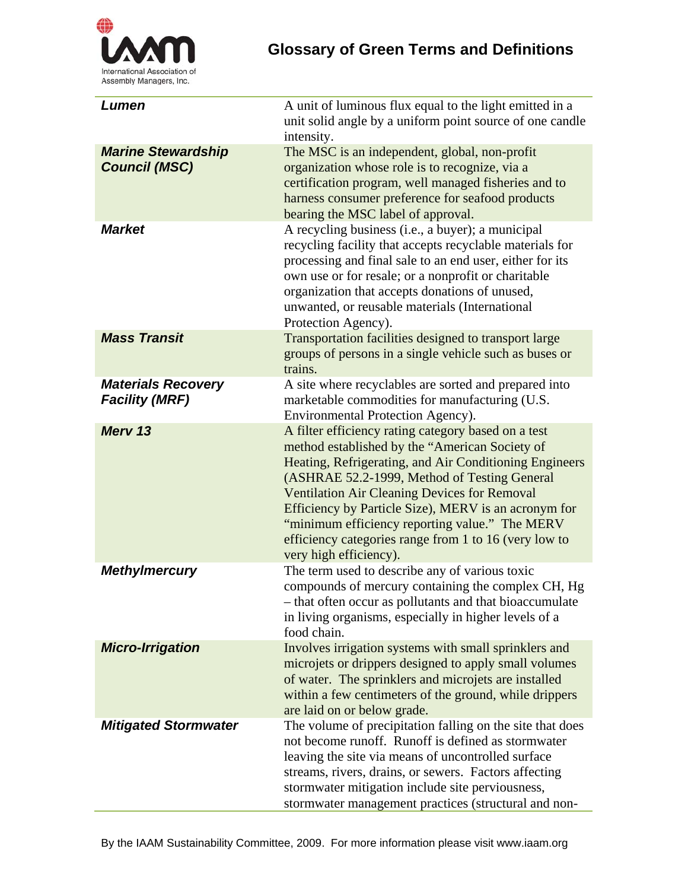

| Lumen                                              | A unit of luminous flux equal to the light emitted in a<br>unit solid angle by a uniform point source of one candle<br>intensity.                                                                                                                                                                                                                                                                                                                                   |
|----------------------------------------------------|---------------------------------------------------------------------------------------------------------------------------------------------------------------------------------------------------------------------------------------------------------------------------------------------------------------------------------------------------------------------------------------------------------------------------------------------------------------------|
| <b>Marine Stewardship</b><br><b>Council (MSC)</b>  | The MSC is an independent, global, non-profit<br>organization whose role is to recognize, via a<br>certification program, well managed fisheries and to<br>harness consumer preference for seafood products<br>bearing the MSC label of approval.                                                                                                                                                                                                                   |
| <b>Market</b>                                      | A recycling business (i.e., a buyer); a municipal<br>recycling facility that accepts recyclable materials for<br>processing and final sale to an end user, either for its<br>own use or for resale; or a nonprofit or charitable<br>organization that accepts donations of unused,<br>unwanted, or reusable materials (International<br>Protection Agency).                                                                                                         |
| <b>Mass Transit</b>                                | Transportation facilities designed to transport large<br>groups of persons in a single vehicle such as buses or<br>trains.                                                                                                                                                                                                                                                                                                                                          |
| <b>Materials Recovery</b><br><b>Facility (MRF)</b> | A site where recyclables are sorted and prepared into<br>marketable commodities for manufacturing (U.S.<br>Environmental Protection Agency).                                                                                                                                                                                                                                                                                                                        |
| Merv 13                                            | A filter efficiency rating category based on a test<br>method established by the "American Society of<br>Heating, Refrigerating, and Air Conditioning Engineers<br>(ASHRAE 52.2-1999, Method of Testing General<br><b>Ventilation Air Cleaning Devices for Removal</b><br>Efficiency by Particle Size), MERV is an acronym for<br>"minimum efficiency reporting value." The MERV<br>efficiency categories range from 1 to 16 (very low to<br>very high efficiency). |
| <b>Methylmercury</b>                               | The term used to describe any of various toxic<br>compounds of mercury containing the complex CH, Hg<br>- that often occur as pollutants and that bioaccumulate<br>in living organisms, especially in higher levels of a<br>food chain.                                                                                                                                                                                                                             |
| <b>Micro-Irrigation</b>                            | Involves irrigation systems with small sprinklers and<br>microjets or drippers designed to apply small volumes<br>of water. The sprinklers and microjets are installed<br>within a few centimeters of the ground, while drippers<br>are laid on or below grade.                                                                                                                                                                                                     |
| <b>Mitigated Stormwater</b>                        | The volume of precipitation falling on the site that does<br>not become runoff. Runoff is defined as stormwater<br>leaving the site via means of uncontrolled surface<br>streams, rivers, drains, or sewers. Factors affecting<br>stormwater mitigation include site perviousness,<br>stormwater management practices (structural and non-                                                                                                                          |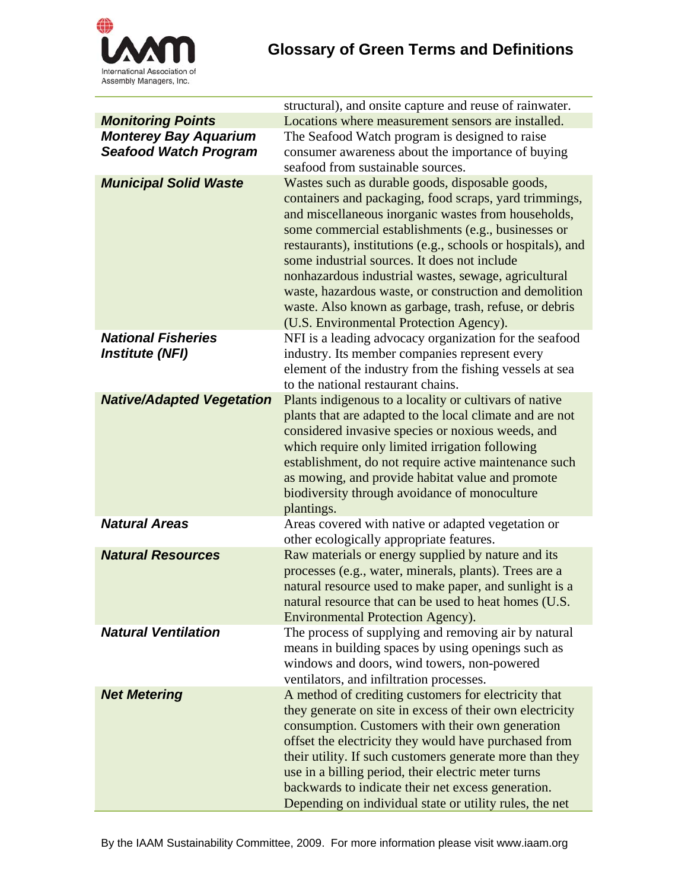

|                                                     | structural), and onsite capture and reuse of rainwater.                                                                                                                                                                                                                                                                                                                                                                                                                                                                                                        |
|-----------------------------------------------------|----------------------------------------------------------------------------------------------------------------------------------------------------------------------------------------------------------------------------------------------------------------------------------------------------------------------------------------------------------------------------------------------------------------------------------------------------------------------------------------------------------------------------------------------------------------|
| <b>Monitoring Points</b>                            | Locations where measurement sensors are installed.                                                                                                                                                                                                                                                                                                                                                                                                                                                                                                             |
| <b>Monterey Bay Aquarium</b>                        | The Seafood Watch program is designed to raise                                                                                                                                                                                                                                                                                                                                                                                                                                                                                                                 |
| <b>Seafood Watch Program</b>                        | consumer awareness about the importance of buying                                                                                                                                                                                                                                                                                                                                                                                                                                                                                                              |
|                                                     | seafood from sustainable sources.                                                                                                                                                                                                                                                                                                                                                                                                                                                                                                                              |
| <b>Municipal Solid Waste</b>                        | Wastes such as durable goods, disposable goods,<br>containers and packaging, food scraps, yard trimmings,<br>and miscellaneous inorganic wastes from households,<br>some commercial establishments (e.g., businesses or<br>restaurants), institutions (e.g., schools or hospitals), and<br>some industrial sources. It does not include<br>nonhazardous industrial wastes, sewage, agricultural<br>waste, hazardous waste, or construction and demolition<br>waste. Also known as garbage, trash, refuse, or debris<br>(U.S. Environmental Protection Agency). |
| <b>National Fisheries</b><br><b>Institute (NFI)</b> | NFI is a leading advocacy organization for the seafood<br>industry. Its member companies represent every<br>element of the industry from the fishing vessels at sea<br>to the national restaurant chains.                                                                                                                                                                                                                                                                                                                                                      |
| <b>Native/Adapted Vegetation</b>                    | Plants indigenous to a locality or cultivars of native<br>plants that are adapted to the local climate and are not<br>considered invasive species or noxious weeds, and<br>which require only limited irrigation following<br>establishment, do not require active maintenance such<br>as mowing, and provide habitat value and promote<br>biodiversity through avoidance of monoculture<br>plantings.                                                                                                                                                         |
| <b>Natural Areas</b>                                | Areas covered with native or adapted vegetation or<br>other ecologically appropriate features.                                                                                                                                                                                                                                                                                                                                                                                                                                                                 |
| <b>Natural Resources</b>                            | Raw materials or energy supplied by nature and its<br>processes (e.g., water, minerals, plants). Trees are a<br>natural resource used to make paper, and sunlight is a<br>natural resource that can be used to heat homes (U.S.<br>Environmental Protection Agency).                                                                                                                                                                                                                                                                                           |
| <b>Natural Ventilation</b>                          | The process of supplying and removing air by natural<br>means in building spaces by using openings such as<br>windows and doors, wind towers, non-powered<br>ventilators, and infiltration processes.                                                                                                                                                                                                                                                                                                                                                          |
| <b>Net Metering</b>                                 | A method of crediting customers for electricity that<br>they generate on site in excess of their own electricity<br>consumption. Customers with their own generation<br>offset the electricity they would have purchased from<br>their utility. If such customers generate more than they<br>use in a billing period, their electric meter turns<br>backwards to indicate their net excess generation.<br>Depending on individual state or utility rules, the net                                                                                              |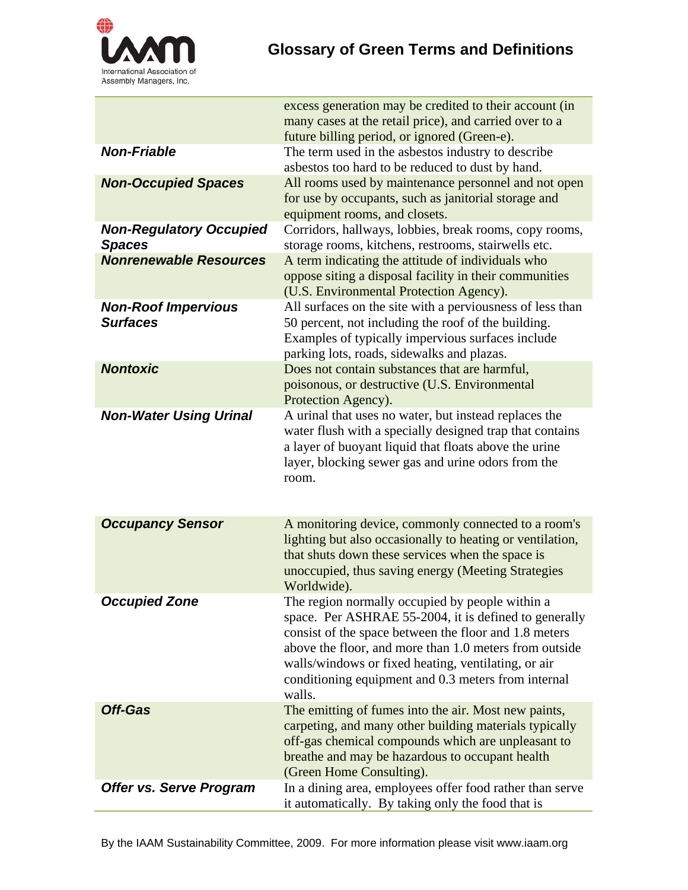

|                                                 | excess generation may be credited to their account (in<br>many cases at the retail price), and carried over to a<br>future billing period, or ignored (Green-e).                                                                                                                                                                                    |
|-------------------------------------------------|-----------------------------------------------------------------------------------------------------------------------------------------------------------------------------------------------------------------------------------------------------------------------------------------------------------------------------------------------------|
| <b>Non-Friable</b>                              | The term used in the asbestos industry to describe<br>asbestos too hard to be reduced to dust by hand.                                                                                                                                                                                                                                              |
| <b>Non-Occupied Spaces</b>                      | All rooms used by maintenance personnel and not open<br>for use by occupants, such as janitorial storage and<br>equipment rooms, and closets.                                                                                                                                                                                                       |
| <b>Non-Regulatory Occupied</b><br><b>Spaces</b> | Corridors, hallways, lobbies, break rooms, copy rooms,<br>storage rooms, kitchens, restrooms, stairwells etc.                                                                                                                                                                                                                                       |
| <b>Nonrenewable Resources</b>                   | A term indicating the attitude of individuals who<br>oppose siting a disposal facility in their communities<br>(U.S. Environmental Protection Agency).                                                                                                                                                                                              |
| <b>Non-Roof Impervious</b><br><b>Surfaces</b>   | All surfaces on the site with a perviousness of less than<br>50 percent, not including the roof of the building.<br>Examples of typically impervious surfaces include<br>parking lots, roads, sidewalks and plazas.                                                                                                                                 |
| <b>Nontoxic</b>                                 | Does not contain substances that are harmful,<br>poisonous, or destructive (U.S. Environmental<br>Protection Agency).                                                                                                                                                                                                                               |
| <b>Non-Water Using Urinal</b>                   | A urinal that uses no water, but instead replaces the<br>water flush with a specially designed trap that contains<br>a layer of buoyant liquid that floats above the urine<br>layer, blocking sewer gas and urine odors from the<br>room.                                                                                                           |
| <b>Occupancy Sensor</b>                         | A monitoring device, commonly connected to a room's<br>lighting but also occasionally to heating or ventilation,<br>that shuts down these services when the space is<br>unoccupied, thus saving energy (Meeting Strategies<br>Worldwide).                                                                                                           |
| <b>Occupied Zone</b>                            | The region normally occupied by people within a<br>space. Per ASHRAE 55-2004, it is defined to generally<br>consist of the space between the floor and 1.8 meters<br>above the floor, and more than 1.0 meters from outside<br>walls/windows or fixed heating, ventilating, or air<br>conditioning equipment and 0.3 meters from internal<br>walls. |
| <b>Off-Gas</b>                                  | The emitting of fumes into the air. Most new paints,<br>carpeting, and many other building materials typically<br>off-gas chemical compounds which are unpleasant to<br>breathe and may be hazardous to occupant health<br>(Green Home Consulting).                                                                                                 |
| Offer vs. Serve Program                         | In a dining area, employees offer food rather than serve<br>it automatically. By taking only the food that is                                                                                                                                                                                                                                       |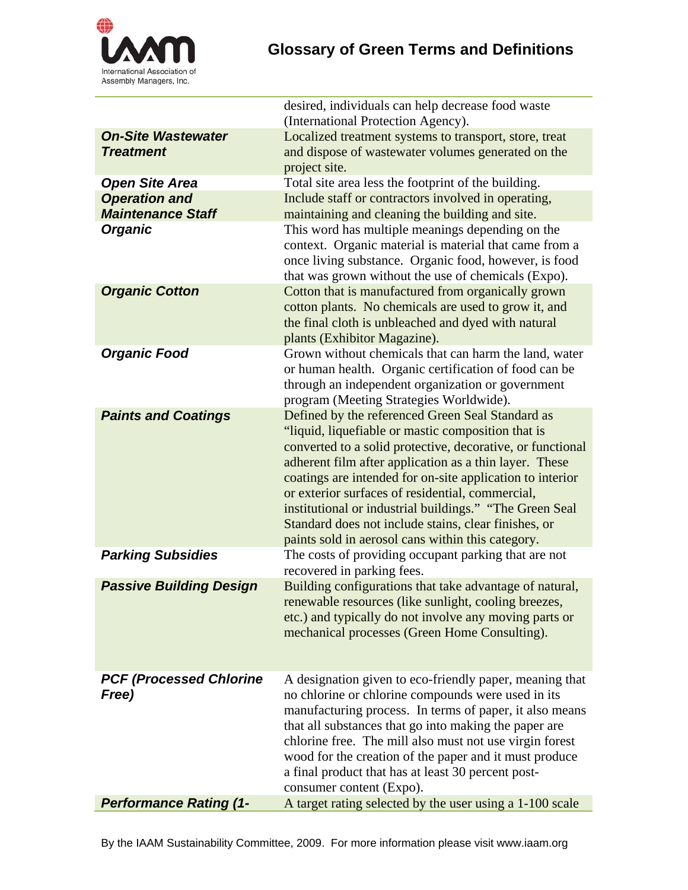

|                                | desired, individuals can help decrease food waste<br>(International Protection Agency).                        |
|--------------------------------|----------------------------------------------------------------------------------------------------------------|
| <b>On-Site Wastewater</b>      | Localized treatment systems to transport, store, treat                                                         |
| <b>Treatment</b>               | and dispose of wastewater volumes generated on the                                                             |
|                                | project site.                                                                                                  |
| <b>Open Site Area</b>          | Total site area less the footprint of the building.                                                            |
| <b>Operation and</b>           | Include staff or contractors involved in operating,                                                            |
| <b>Maintenance Staff</b>       | maintaining and cleaning the building and site.                                                                |
| <b>Organic</b>                 | This word has multiple meanings depending on the                                                               |
|                                | context. Organic material is material that came from a                                                         |
|                                | once living substance. Organic food, however, is food                                                          |
|                                | that was grown without the use of chemicals (Expo).                                                            |
| <b>Organic Cotton</b>          | Cotton that is manufactured from organically grown                                                             |
|                                | cotton plants. No chemicals are used to grow it, and                                                           |
|                                | the final cloth is unbleached and dyed with natural                                                            |
|                                | plants (Exhibitor Magazine).                                                                                   |
| <b>Organic Food</b>            | Grown without chemicals that can harm the land, water<br>or human health. Organic certification of food can be |
|                                | through an independent organization or government                                                              |
|                                | program (Meeting Strategies Worldwide).                                                                        |
| <b>Paints and Coatings</b>     | Defined by the referenced Green Seal Standard as                                                               |
|                                | "liquid, liquefiable or mastic composition that is                                                             |
|                                | converted to a solid protective, decorative, or functional                                                     |
|                                | adherent film after application as a thin layer. These                                                         |
|                                | coatings are intended for on-site application to interior                                                      |
|                                | or exterior surfaces of residential, commercial,                                                               |
|                                | institutional or industrial buildings." "The Green Seal                                                        |
|                                | Standard does not include stains, clear finishes, or                                                           |
|                                | paints sold in aerosol cans within this category.                                                              |
| <b>Parking Subsidies</b>       | The costs of providing occupant parking that are not                                                           |
|                                | recovered in parking fees.                                                                                     |
| <b>Passive Building Design</b> | Building configurations that take advantage of natural,<br>renewable resources (like sunlight, cooling breezes |
|                                | etc.) and typically do not involve any moving parts or                                                         |
|                                | mechanical processes (Green Home Consulting).                                                                  |
|                                |                                                                                                                |
|                                |                                                                                                                |
| <b>PCF (Processed Chlorine</b> | A designation given to eco-friendly paper, meaning that                                                        |
| Free)                          | no chlorine or chlorine compounds were used in its                                                             |
|                                | manufacturing process. In terms of paper, it also means                                                        |
|                                | that all substances that go into making the paper are                                                          |
|                                | chlorine free. The mill also must not use virgin forest                                                        |
|                                | wood for the creation of the paper and it must produce                                                         |
|                                | a final product that has at least 30 percent post-                                                             |
|                                | consumer content (Expo).                                                                                       |
| <b>Performance Rating (1-</b>  | A target rating selected by the user using a 1-100 scale                                                       |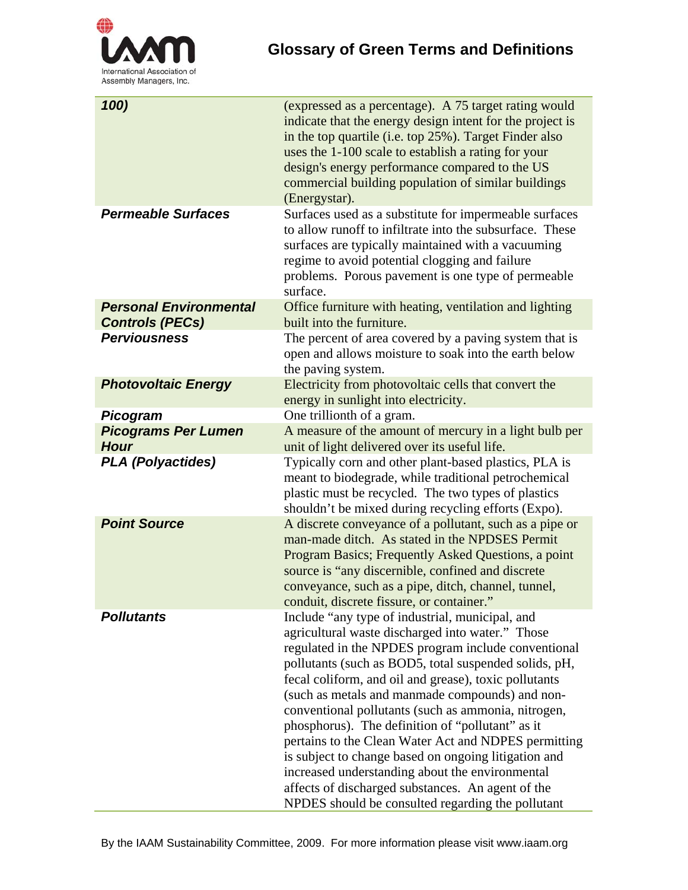

| 100)                                                    | (expressed as a percentage). A 75 target rating would<br>indicate that the energy design intent for the project is<br>in the top quartile (i.e. top 25%). Target Finder also<br>uses the 1-100 scale to establish a rating for your<br>design's energy performance compared to the US<br>commercial building population of similar buildings<br>(Energystar).                                                                                                                                                                                                                                                                                                                                                           |
|---------------------------------------------------------|-------------------------------------------------------------------------------------------------------------------------------------------------------------------------------------------------------------------------------------------------------------------------------------------------------------------------------------------------------------------------------------------------------------------------------------------------------------------------------------------------------------------------------------------------------------------------------------------------------------------------------------------------------------------------------------------------------------------------|
| <b>Permeable Surfaces</b>                               | Surfaces used as a substitute for impermeable surfaces<br>to allow runoff to infiltrate into the subsurface. These<br>surfaces are typically maintained with a vacuuming<br>regime to avoid potential clogging and failure<br>problems. Porous pavement is one type of permeable<br>surface.                                                                                                                                                                                                                                                                                                                                                                                                                            |
| <b>Personal Environmental</b><br><b>Controls (PECs)</b> | Office furniture with heating, ventilation and lighting<br>built into the furniture.                                                                                                                                                                                                                                                                                                                                                                                                                                                                                                                                                                                                                                    |
| <b>Perviousness</b>                                     | The percent of area covered by a paving system that is<br>open and allows moisture to soak into the earth below<br>the paving system.                                                                                                                                                                                                                                                                                                                                                                                                                                                                                                                                                                                   |
| <b>Photovoltaic Energy</b>                              | Electricity from photovoltaic cells that convert the<br>energy in sunlight into electricity.                                                                                                                                                                                                                                                                                                                                                                                                                                                                                                                                                                                                                            |
| Picogram                                                | One trillionth of a gram.                                                                                                                                                                                                                                                                                                                                                                                                                                                                                                                                                                                                                                                                                               |
| <b>Picograms Per Lumen</b><br><b>Hour</b>               | A measure of the amount of mercury in a light bulb per<br>unit of light delivered over its useful life.                                                                                                                                                                                                                                                                                                                                                                                                                                                                                                                                                                                                                 |
| <b>PLA (Polyactides)</b>                                | Typically corn and other plant-based plastics, PLA is<br>meant to biodegrade, while traditional petrochemical<br>plastic must be recycled. The two types of plastics<br>shouldn't be mixed during recycling efforts (Expo).                                                                                                                                                                                                                                                                                                                                                                                                                                                                                             |
| <b>Point Source</b>                                     | A discrete conveyance of a pollutant, such as a pipe or<br>man-made ditch. As stated in the NPDSES Permit<br>Program Basics; Frequently Asked Questions, a point<br>source is "any discernible, confined and discrete<br>conveyance, such as a pipe, ditch, channel, tunnel,<br>conduit, discrete fissure, or container."                                                                                                                                                                                                                                                                                                                                                                                               |
| <b>Pollutants</b>                                       | Include "any type of industrial, municipal, and<br>agricultural waste discharged into water." Those<br>regulated in the NPDES program include conventional<br>pollutants (such as BOD5, total suspended solids, pH,<br>fecal coliform, and oil and grease), toxic pollutants<br>(such as metals and manmade compounds) and non-<br>conventional pollutants (such as ammonia, nitrogen,<br>phosphorus). The definition of "pollutant" as it<br>pertains to the Clean Water Act and NDPES permitting<br>is subject to change based on ongoing litigation and<br>increased understanding about the environmental<br>affects of discharged substances. An agent of the<br>NPDES should be consulted regarding the pollutant |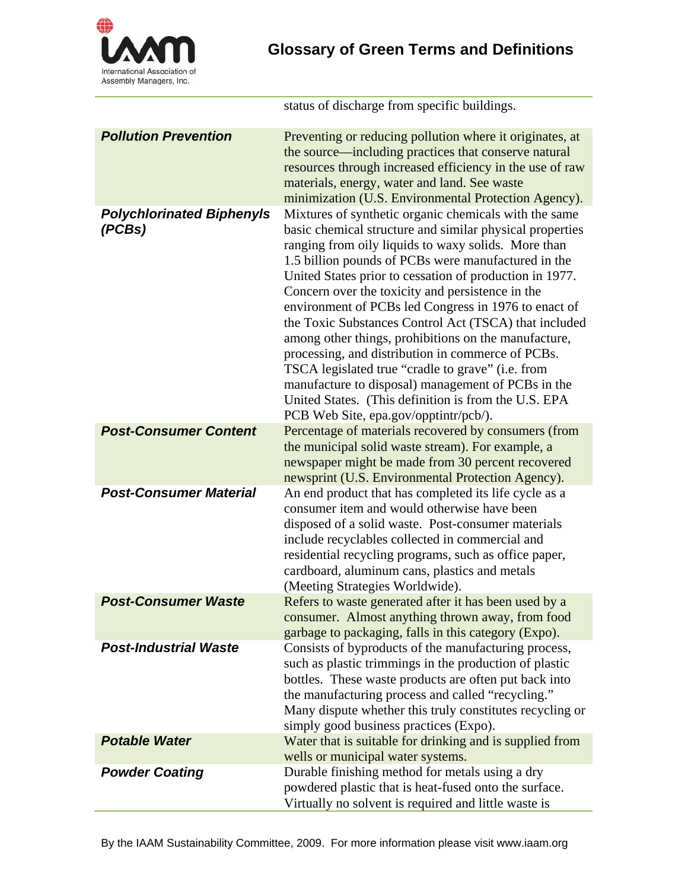

status of discharge from specific buildings.

| <b>Pollution Prevention</b>                | Preventing or reducing pollution where it originates, at<br>the source—including practices that conserve natural<br>resources through increased efficiency in the use of raw<br>materials, energy, water and land. See waste<br>minimization (U.S. Environmental Protection Agency).                                                                                                                                                                                                                                                                                                                                                                                                                                                                                                     |
|--------------------------------------------|------------------------------------------------------------------------------------------------------------------------------------------------------------------------------------------------------------------------------------------------------------------------------------------------------------------------------------------------------------------------------------------------------------------------------------------------------------------------------------------------------------------------------------------------------------------------------------------------------------------------------------------------------------------------------------------------------------------------------------------------------------------------------------------|
| <b>Polychlorinated Biphenyls</b><br>(PCBs) | Mixtures of synthetic organic chemicals with the same<br>basic chemical structure and similar physical properties<br>ranging from oily liquids to waxy solids. More than<br>1.5 billion pounds of PCBs were manufactured in the<br>United States prior to cessation of production in 1977.<br>Concern over the toxicity and persistence in the<br>environment of PCBs led Congress in 1976 to enact of<br>the Toxic Substances Control Act (TSCA) that included<br>among other things, prohibitions on the manufacture,<br>processing, and distribution in commerce of PCBs.<br>TSCA legislated true "cradle to grave" (i.e. from<br>manufacture to disposal) management of PCBs in the<br>United States. (This definition is from the U.S. EPA<br>PCB Web Site, epa.gov/opptintr/pcb/). |
| <b>Post-Consumer Content</b>               | Percentage of materials recovered by consumers (from<br>the municipal solid waste stream). For example, a<br>newspaper might be made from 30 percent recovered<br>newsprint (U.S. Environmental Protection Agency).                                                                                                                                                                                                                                                                                                                                                                                                                                                                                                                                                                      |
| <b>Post-Consumer Material</b>              | An end product that has completed its life cycle as a<br>consumer item and would otherwise have been<br>disposed of a solid waste. Post-consumer materials<br>include recyclables collected in commercial and<br>residential recycling programs, such as office paper,<br>cardboard, aluminum cans, plastics and metals<br>(Meeting Strategies Worldwide).                                                                                                                                                                                                                                                                                                                                                                                                                               |
| <b>Post-Consumer Waste</b>                 | Refers to waste generated after it has been used by a<br>consumer. Almost anything thrown away, from food<br>garbage to packaging, falls in this category (Expo).                                                                                                                                                                                                                                                                                                                                                                                                                                                                                                                                                                                                                        |
| <b>Post-Industrial Waste</b>               | Consists of byproducts of the manufacturing process,<br>such as plastic trimmings in the production of plastic<br>bottles. These waste products are often put back into<br>the manufacturing process and called "recycling."<br>Many dispute whether this truly constitutes recycling or<br>simply good business practices (Expo).                                                                                                                                                                                                                                                                                                                                                                                                                                                       |
| <b>Potable Water</b>                       | Water that is suitable for drinking and is supplied from<br>wells or municipal water systems.                                                                                                                                                                                                                                                                                                                                                                                                                                                                                                                                                                                                                                                                                            |
| <b>Powder Coating</b>                      | Durable finishing method for metals using a dry<br>powdered plastic that is heat-fused onto the surface.<br>Virtually no solvent is required and little waste is                                                                                                                                                                                                                                                                                                                                                                                                                                                                                                                                                                                                                         |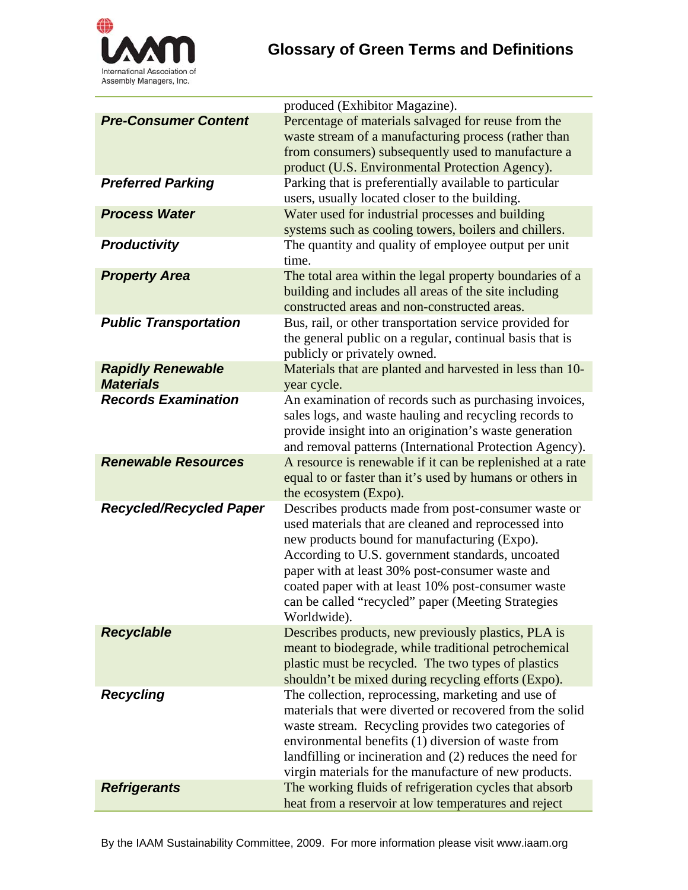

|                                              | produced (Exhibitor Magazine).                                                                                                                                                                                                                                                                                                                                                                |
|----------------------------------------------|-----------------------------------------------------------------------------------------------------------------------------------------------------------------------------------------------------------------------------------------------------------------------------------------------------------------------------------------------------------------------------------------------|
| <b>Pre-Consumer Content</b>                  | Percentage of materials salvaged for reuse from the<br>waste stream of a manufacturing process (rather than<br>from consumers) subsequently used to manufacture a<br>product (U.S. Environmental Protection Agency).                                                                                                                                                                          |
| <b>Preferred Parking</b>                     | Parking that is preferentially available to particular<br>users, usually located closer to the building.                                                                                                                                                                                                                                                                                      |
| <b>Process Water</b>                         | Water used for industrial processes and building<br>systems such as cooling towers, boilers and chillers.                                                                                                                                                                                                                                                                                     |
| <b>Productivity</b>                          | The quantity and quality of employee output per unit<br>time.                                                                                                                                                                                                                                                                                                                                 |
| <b>Property Area</b>                         | The total area within the legal property boundaries of a<br>building and includes all areas of the site including<br>constructed areas and non-constructed areas.                                                                                                                                                                                                                             |
| <b>Public Transportation</b>                 | Bus, rail, or other transportation service provided for<br>the general public on a regular, continual basis that is<br>publicly or privately owned.                                                                                                                                                                                                                                           |
| <b>Rapidly Renewable</b><br><b>Materials</b> | Materials that are planted and harvested in less than 10-<br>year cycle.                                                                                                                                                                                                                                                                                                                      |
| <b>Records Examination</b>                   | An examination of records such as purchasing invoices,<br>sales logs, and waste hauling and recycling records to<br>provide insight into an origination's waste generation<br>and removal patterns (International Protection Agency).                                                                                                                                                         |
| <b>Renewable Resources</b>                   | A resource is renewable if it can be replenished at a rate<br>equal to or faster than it's used by humans or others in<br>the ecosystem (Expo).                                                                                                                                                                                                                                               |
| <b>Recycled/Recycled Paper</b>               | Describes products made from post-consumer waste or<br>used materials that are cleaned and reprocessed into<br>new products bound for manufacturing (Expo).<br>According to U.S. government standards, uncoated<br>paper with at least 30% post-consumer waste and<br>coated paper with at least 10% post-consumer waste<br>can be called "recycled" paper (Meeting Strategies<br>Worldwide). |
| <b>Recyclable</b>                            | Describes products, new previously plastics, PLA is<br>meant to biodegrade, while traditional petrochemical<br>plastic must be recycled. The two types of plastics<br>shouldn't be mixed during recycling efforts (Expo).                                                                                                                                                                     |
| <b>Recycling</b>                             | The collection, reprocessing, marketing and use of<br>materials that were diverted or recovered from the solid<br>waste stream. Recycling provides two categories of<br>environmental benefits (1) diversion of waste from<br>landfilling or incineration and (2) reduces the need for<br>virgin materials for the manufacture of new products.                                               |
| <b>Refrigerants</b>                          | The working fluids of refrigeration cycles that absorb<br>heat from a reservoir at low temperatures and reject                                                                                                                                                                                                                                                                                |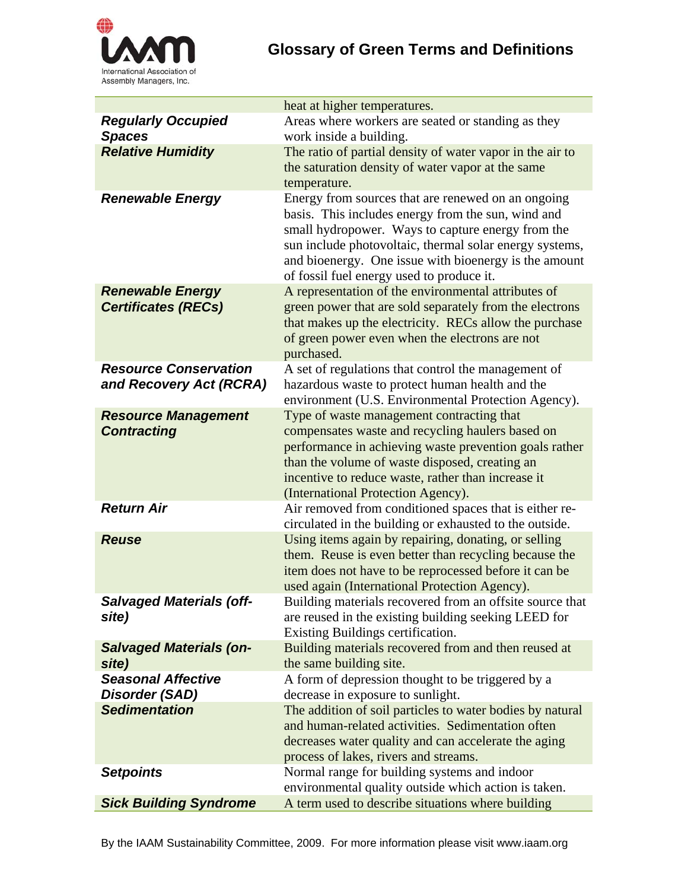

|                                                  | heat at higher temperatures.                                                                     |
|--------------------------------------------------|--------------------------------------------------------------------------------------------------|
| <b>Regularly Occupied</b>                        | Areas where workers are seated or standing as they                                               |
| <b>Spaces</b>                                    | work inside a building.                                                                          |
| <b>Relative Humidity</b>                         | The ratio of partial density of water vapor in the air to                                        |
|                                                  | the saturation density of water vapor at the same                                                |
|                                                  | temperature.                                                                                     |
| <b>Renewable Energy</b>                          | Energy from sources that are renewed on an ongoing                                               |
|                                                  | basis. This includes energy from the sun, wind and                                               |
|                                                  | small hydropower. Ways to capture energy from the                                                |
|                                                  | sun include photovoltaic, thermal solar energy systems,                                          |
|                                                  | and bioenergy. One issue with bioenergy is the amount                                            |
|                                                  | of fossil fuel energy used to produce it.                                                        |
| <b>Renewable Energy</b>                          | A representation of the environmental attributes of                                              |
| <b>Certificates (RECs)</b>                       | green power that are sold separately from the electrons                                          |
|                                                  | that makes up the electricity. RECs allow the purchase                                           |
|                                                  | of green power even when the electrons are not                                                   |
|                                                  | purchased.                                                                                       |
| <b>Resource Conservation</b>                     | A set of regulations that control the management of                                              |
| and Recovery Act (RCRA)                          | hazardous waste to protect human health and the                                                  |
|                                                  | environment (U.S. Environmental Protection Agency).<br>Type of waste management contracting that |
| <b>Resource Management</b><br><b>Contracting</b> | compensates waste and recycling haulers based on                                                 |
|                                                  | performance in achieving waste prevention goals rather                                           |
|                                                  | than the volume of waste disposed, creating an                                                   |
|                                                  | incentive to reduce waste, rather than increase it                                               |
|                                                  | (International Protection Agency).                                                               |
| <b>Return Air</b>                                | Air removed from conditioned spaces that is either re-                                           |
|                                                  | circulated in the building or exhausted to the outside.                                          |
| <b>Reuse</b>                                     | Using items again by repairing, donating, or selling                                             |
|                                                  | them. Reuse is even better than recycling because the                                            |
|                                                  | item does not have to be reprocessed before it can be                                            |
|                                                  | used again (International Protection Agency).                                                    |
| <b>Salvaged Materials (off-</b>                  | Building materials recovered from an offsite source that                                         |
| site)                                            | are reused in the existing building seeking LEED for                                             |
|                                                  | Existing Buildings certification.                                                                |
| <b>Salvaged Materials (on-</b>                   | Building materials recovered from and then reused at                                             |
| site)                                            | the same building site.                                                                          |
| <b>Seasonal Affective</b>                        | A form of depression thought to be triggered by a                                                |
| Disorder (SAD)                                   | decrease in exposure to sunlight.                                                                |
| <b>Sedimentation</b>                             | The addition of soil particles to water bodies by natural                                        |
|                                                  | and human-related activities. Sedimentation often                                                |
|                                                  | decreases water quality and can accelerate the aging                                             |
|                                                  | process of lakes, rivers and streams.                                                            |
| <b>Setpoints</b>                                 | Normal range for building systems and indoor                                                     |
|                                                  | environmental quality outside which action is taken.                                             |
| <b>Sick Building Syndrome</b>                    | A term used to describe situations where building                                                |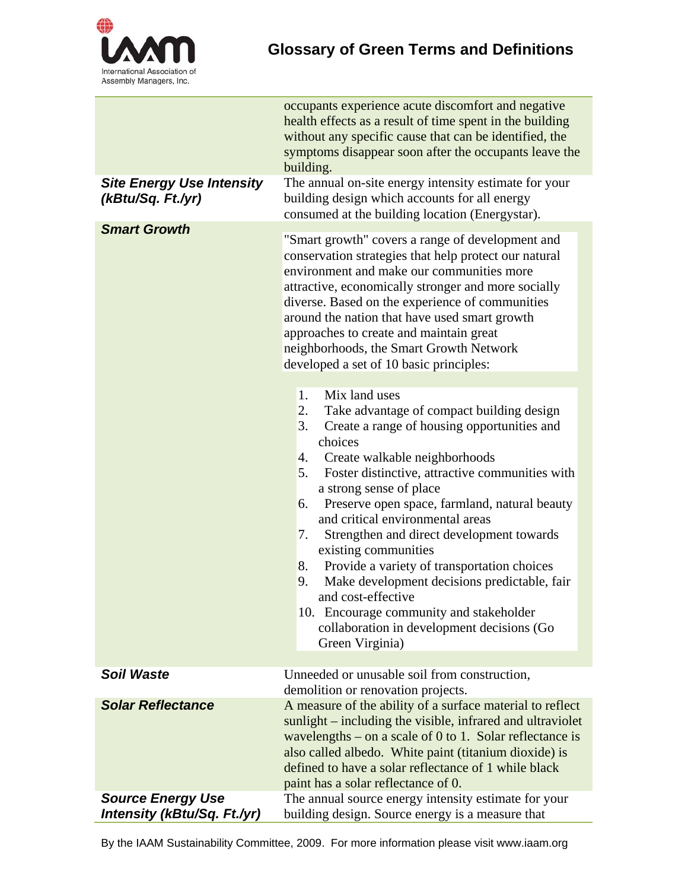

| <b>Site Energy Use Intensity</b><br>(kBtu/Sq. Ft./yr)          | occupants experience acute discomfort and negative<br>health effects as a result of time spent in the building<br>without any specific cause that can be identified, the<br>symptoms disappear soon after the occupants leave the<br>building.<br>The annual on-site energy intensity estimate for your<br>building design which accounts for all energy                                                                                                                                                                                                                                                                                                                             |
|----------------------------------------------------------------|--------------------------------------------------------------------------------------------------------------------------------------------------------------------------------------------------------------------------------------------------------------------------------------------------------------------------------------------------------------------------------------------------------------------------------------------------------------------------------------------------------------------------------------------------------------------------------------------------------------------------------------------------------------------------------------|
|                                                                | consumed at the building location (Energystar).                                                                                                                                                                                                                                                                                                                                                                                                                                                                                                                                                                                                                                      |
| <b>Smart Growth</b>                                            | "Smart growth" covers a range of development and<br>conservation strategies that help protect our natural<br>environment and make our communities more<br>attractive, economically stronger and more socially<br>diverse. Based on the experience of communities<br>around the nation that have used smart growth<br>approaches to create and maintain great<br>neighborhoods, the Smart Growth Network<br>developed a set of 10 basic principles:                                                                                                                                                                                                                                   |
|                                                                | 1.<br>Mix land uses<br>2.<br>Take advantage of compact building design<br>Create a range of housing opportunities and<br>3.<br>choices<br>4.<br>Create walkable neighborhoods<br>Foster distinctive, attractive communities with<br>5.<br>a strong sense of place<br>Preserve open space, farmland, natural beauty<br>6.<br>and critical environmental areas<br>Strengthen and direct development towards<br>7.<br>existing communities<br>Provide a variety of transportation choices<br>8.<br>Make development decisions predictable, fair<br>9.<br>and cost-effective<br>10. Encourage community and stakeholder<br>collaboration in development decisions (Go<br>Green Virginia) |
| <b>Soil Waste</b>                                              | Unneeded or unusable soil from construction,<br>demolition or renovation projects.                                                                                                                                                                                                                                                                                                                                                                                                                                                                                                                                                                                                   |
| <b>Solar Reflectance</b>                                       | A measure of the ability of a surface material to reflect<br>sunlight – including the visible, infrared and ultraviolet<br>wavelengths – on a scale of 0 to 1. Solar reflectance is<br>also called albedo. White paint (titanium dioxide) is<br>defined to have a solar reflectance of 1 while black<br>paint has a solar reflectance of 0.                                                                                                                                                                                                                                                                                                                                          |
| <b>Source Energy Use</b><br><b>Intensity (kBtu/Sq. Ft./yr)</b> | The annual source energy intensity estimate for your<br>building design. Source energy is a measure that                                                                                                                                                                                                                                                                                                                                                                                                                                                                                                                                                                             |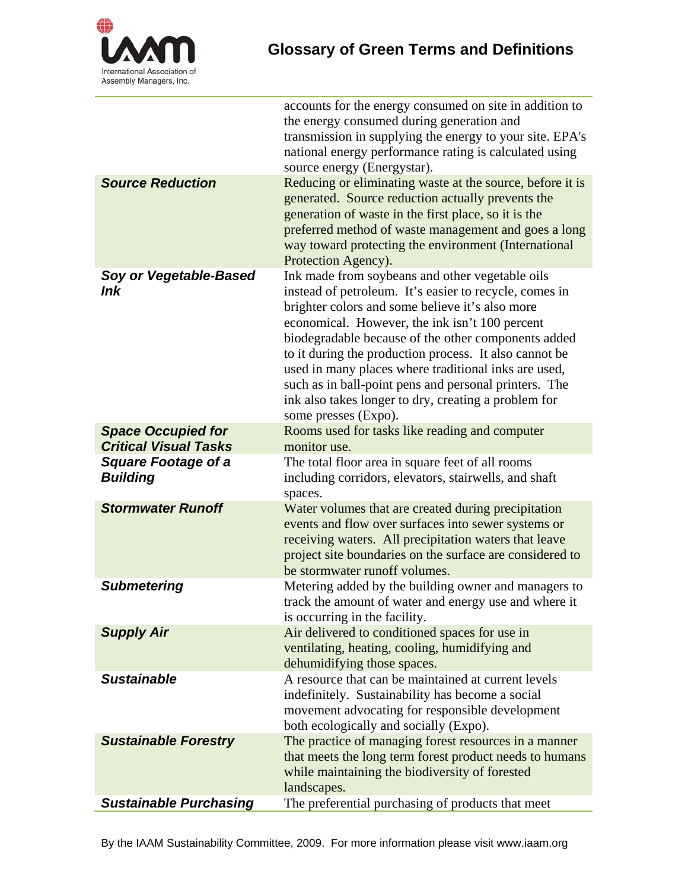

l,

| <b>Source Reduction</b>                                   | accounts for the energy consumed on site in addition to<br>the energy consumed during generation and<br>transmission in supplying the energy to your site. EPA's<br>national energy performance rating is calculated using<br>source energy (Energystar).<br>Reducing or eliminating waste at the source, before it is                                                                                                                                                                                                           |
|-----------------------------------------------------------|----------------------------------------------------------------------------------------------------------------------------------------------------------------------------------------------------------------------------------------------------------------------------------------------------------------------------------------------------------------------------------------------------------------------------------------------------------------------------------------------------------------------------------|
|                                                           | generated. Source reduction actually prevents the<br>generation of waste in the first place, so it is the<br>preferred method of waste management and goes a long<br>way toward protecting the environment (International<br>Protection Agency).                                                                                                                                                                                                                                                                                 |
| Soy or Vegetable-Based<br>Ink                             | Ink made from soybeans and other vegetable oils<br>instead of petroleum. It's easier to recycle, comes in<br>brighter colors and some believe it's also more<br>economical. However, the ink isn't 100 percent<br>biodegradable because of the other components added<br>to it during the production process. It also cannot be<br>used in many places where traditional inks are used,<br>such as in ball-point pens and personal printers. The<br>ink also takes longer to dry, creating a problem for<br>some presses (Expo). |
| <b>Space Occupied for</b><br><b>Critical Visual Tasks</b> | Rooms used for tasks like reading and computer<br>monitor use.                                                                                                                                                                                                                                                                                                                                                                                                                                                                   |
| <b>Square Footage of a</b><br><b>Building</b>             | The total floor area in square feet of all rooms<br>including corridors, elevators, stairwells, and shaft<br>spaces.                                                                                                                                                                                                                                                                                                                                                                                                             |
| <b>Stormwater Runoff</b>                                  | Water volumes that are created during precipitation<br>events and flow over surfaces into sewer systems or<br>receiving waters. All precipitation waters that leave<br>project site boundaries on the surface are considered to<br>be stormwater runoff volumes.                                                                                                                                                                                                                                                                 |
| <b>Submetering</b>                                        | Metering added by the building owner and managers to<br>track the amount of water and energy use and where it<br>is occurring in the facility.                                                                                                                                                                                                                                                                                                                                                                                   |
| <b>Supply Air</b>                                         | Air delivered to conditioned spaces for use in<br>ventilating, heating, cooling, humidifying and<br>dehumidifying those spaces.                                                                                                                                                                                                                                                                                                                                                                                                  |
| <b>Sustainable</b>                                        | A resource that can be maintained at current levels<br>indefinitely. Sustainability has become a social<br>movement advocating for responsible development<br>both ecologically and socially (Expo).                                                                                                                                                                                                                                                                                                                             |
| <b>Sustainable Forestry</b>                               | The practice of managing forest resources in a manner<br>that meets the long term forest product needs to humans<br>while maintaining the biodiversity of forested<br>landscapes.                                                                                                                                                                                                                                                                                                                                                |
| <b>Sustainable Purchasing</b>                             | The preferential purchasing of products that meet                                                                                                                                                                                                                                                                                                                                                                                                                                                                                |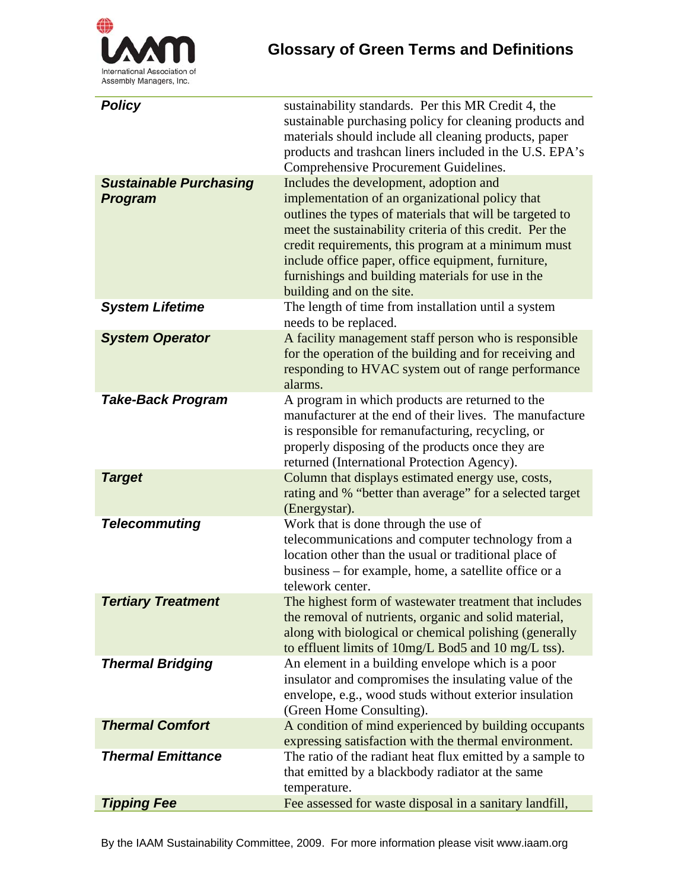

| <b>Policy</b><br><b>Sustainable Purchasing</b> | sustainability standards. Per this MR Credit 4, the<br>sustainable purchasing policy for cleaning products and<br>materials should include all cleaning products, paper<br>products and trashcan liners included in the U.S. EPA's<br>Comprehensive Procurement Guidelines.<br>Includes the development, adoption and                                                  |
|------------------------------------------------|------------------------------------------------------------------------------------------------------------------------------------------------------------------------------------------------------------------------------------------------------------------------------------------------------------------------------------------------------------------------|
| <b>Program</b>                                 | implementation of an organizational policy that<br>outlines the types of materials that will be targeted to<br>meet the sustainability criteria of this credit. Per the<br>credit requirements, this program at a minimum must<br>include office paper, office equipment, furniture,<br>furnishings and building materials for use in the<br>building and on the site. |
| <b>System Lifetime</b>                         | The length of time from installation until a system<br>needs to be replaced.                                                                                                                                                                                                                                                                                           |
| <b>System Operator</b>                         | A facility management staff person who is responsible<br>for the operation of the building and for receiving and<br>responding to HVAC system out of range performance<br>alarms.                                                                                                                                                                                      |
| <b>Take-Back Program</b>                       | A program in which products are returned to the<br>manufacturer at the end of their lives. The manufacture<br>is responsible for remanufacturing, recycling, or<br>properly disposing of the products once they are<br>returned (International Protection Agency).                                                                                                     |
| <b>Target</b>                                  | Column that displays estimated energy use, costs,<br>rating and % "better than average" for a selected target<br>(Energystar).                                                                                                                                                                                                                                         |
| <b>Telecommuting</b>                           | Work that is done through the use of<br>telecommunications and computer technology from a<br>location other than the usual or traditional place of<br>business – for example, home, a satellite office or a<br>telework center.                                                                                                                                        |
| <b>Tertiary Treatment</b>                      | The highest form of wastewater treatment that includes<br>the removal of nutrients, organic and solid material,<br>along with biological or chemical polishing (generally<br>to effluent limits of 10mg/L Bod5 and 10 mg/L tss).                                                                                                                                       |
| <b>Thermal Bridging</b>                        | An element in a building envelope which is a poor<br>insulator and compromises the insulating value of the<br>envelope, e.g., wood studs without exterior insulation<br>(Green Home Consulting).                                                                                                                                                                       |
| <b>Thermal Comfort</b>                         | A condition of mind experienced by building occupants<br>expressing satisfaction with the thermal environment.                                                                                                                                                                                                                                                         |
| <b>Thermal Emittance</b>                       | The ratio of the radiant heat flux emitted by a sample to<br>that emitted by a blackbody radiator at the same<br>temperature.                                                                                                                                                                                                                                          |
| <b>Tipping Fee</b>                             | Fee assessed for waste disposal in a sanitary landfill,                                                                                                                                                                                                                                                                                                                |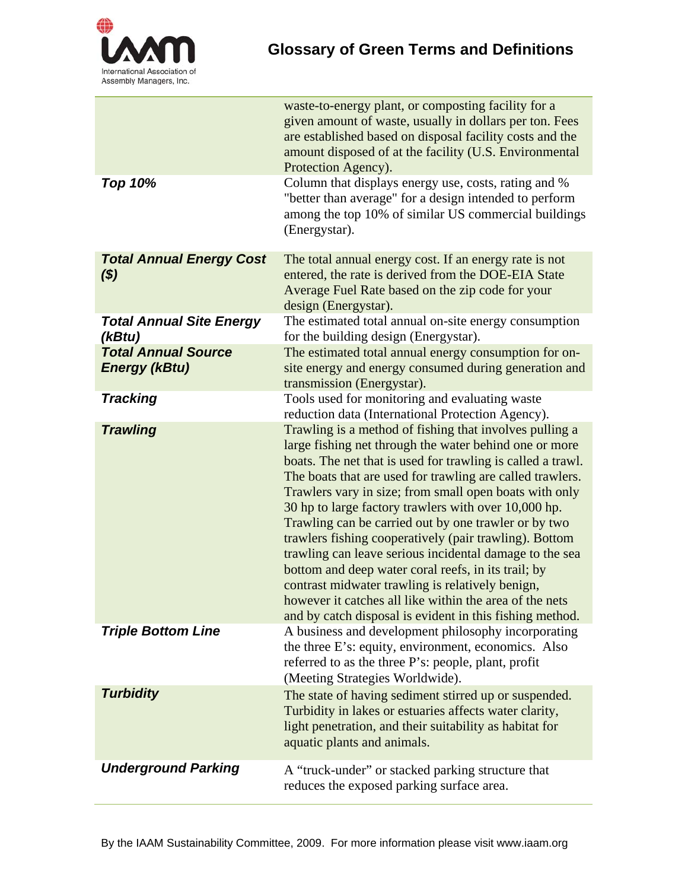

|                                                    | waste-to-energy plant, or composting facility for a<br>given amount of waste, usually in dollars per ton. Fees<br>are established based on disposal facility costs and the<br>amount disposed of at the facility (U.S. Environmental<br>Protection Agency).                                                                                                                                                                                                                                                                                                                                                                                                                                                                                                                    |
|----------------------------------------------------|--------------------------------------------------------------------------------------------------------------------------------------------------------------------------------------------------------------------------------------------------------------------------------------------------------------------------------------------------------------------------------------------------------------------------------------------------------------------------------------------------------------------------------------------------------------------------------------------------------------------------------------------------------------------------------------------------------------------------------------------------------------------------------|
| <b>Top 10%</b>                                     | Column that displays energy use, costs, rating and %<br>"better than average" for a design intended to perform<br>among the top 10% of similar US commercial buildings<br>(Energystar).                                                                                                                                                                                                                                                                                                                                                                                                                                                                                                                                                                                        |
| <b>Total Annual Energy Cost</b><br>$($ \$)         | The total annual energy cost. If an energy rate is not<br>entered, the rate is derived from the DOE-EIA State<br>Average Fuel Rate based on the zip code for your<br>design (Energystar).                                                                                                                                                                                                                                                                                                                                                                                                                                                                                                                                                                                      |
| <b>Total Annual Site Energy</b><br>(kBtu)          | The estimated total annual on-site energy consumption<br>for the building design (Energystar).                                                                                                                                                                                                                                                                                                                                                                                                                                                                                                                                                                                                                                                                                 |
| <b>Total Annual Source</b><br><b>Energy (kBtu)</b> | The estimated total annual energy consumption for on-<br>site energy and energy consumed during generation and<br>transmission (Energystar).                                                                                                                                                                                                                                                                                                                                                                                                                                                                                                                                                                                                                                   |
| <b>Tracking</b>                                    | Tools used for monitoring and evaluating waste<br>reduction data (International Protection Agency).                                                                                                                                                                                                                                                                                                                                                                                                                                                                                                                                                                                                                                                                            |
| <b>Trawling</b>                                    | Trawling is a method of fishing that involves pulling a<br>large fishing net through the water behind one or more<br>boats. The net that is used for trawling is called a trawl.<br>The boats that are used for trawling are called trawlers.<br>Trawlers vary in size; from small open boats with only<br>30 hp to large factory trawlers with over 10,000 hp.<br>Trawling can be carried out by one trawler or by two<br>trawlers fishing cooperatively (pair trawling). Bottom<br>trawling can leave serious incidental damage to the sea<br>bottom and deep water coral reefs, in its trail; by<br>contrast midwater trawling is relatively benign,<br>however it catches all like within the area of the nets<br>and by catch disposal is evident in this fishing method. |
| <b>Triple Bottom Line</b>                          | A business and development philosophy incorporating<br>the three E's: equity, environment, economics. Also<br>referred to as the three P's: people, plant, profit<br>(Meeting Strategies Worldwide).                                                                                                                                                                                                                                                                                                                                                                                                                                                                                                                                                                           |
| <b>Turbidity</b>                                   | The state of having sediment stirred up or suspended.<br>Turbidity in lakes or estuaries affects water clarity,<br>light penetration, and their suitability as habitat for<br>aquatic plants and animals.                                                                                                                                                                                                                                                                                                                                                                                                                                                                                                                                                                      |
| <b>Underground Parking</b>                         | A "truck-under" or stacked parking structure that<br>reduces the exposed parking surface area.                                                                                                                                                                                                                                                                                                                                                                                                                                                                                                                                                                                                                                                                                 |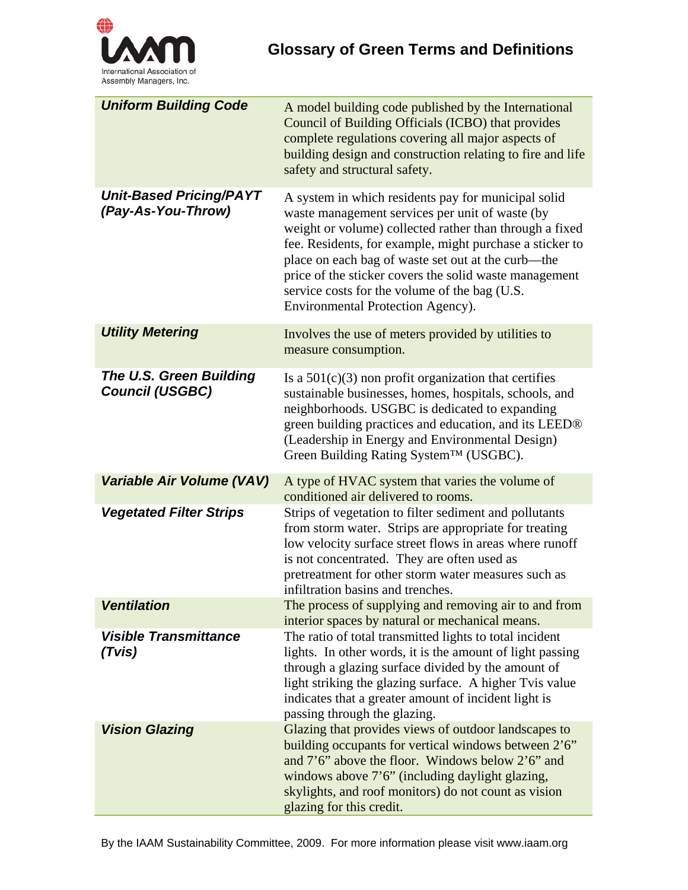

| <b>Uniform Building Code</b>                         | A model building code published by the International<br>Council of Building Officials (ICBO) that provides<br>complete regulations covering all major aspects of<br>building design and construction relating to fire and life<br>safety and structural safety.                                                                                                                                                                     |
|------------------------------------------------------|-------------------------------------------------------------------------------------------------------------------------------------------------------------------------------------------------------------------------------------------------------------------------------------------------------------------------------------------------------------------------------------------------------------------------------------|
| <b>Unit-Based Pricing/PAYT</b><br>(Pay-As-You-Throw) | A system in which residents pay for municipal solid<br>waste management services per unit of waste (by<br>weight or volume) collected rather than through a fixed<br>fee. Residents, for example, might purchase a sticker to<br>place on each bag of waste set out at the curb—the<br>price of the sticker covers the solid waste management<br>service costs for the volume of the bag (U.S.<br>Environmental Protection Agency). |
| <b>Utility Metering</b>                              | Involves the use of meters provided by utilities to<br>measure consumption.                                                                                                                                                                                                                                                                                                                                                         |
| The U.S. Green Building<br><b>Council (USGBC)</b>    | Is a $501(c)(3)$ non profit organization that certifies<br>sustainable businesses, homes, hospitals, schools, and<br>neighborhoods. USGBC is dedicated to expanding<br>green building practices and education, and its LEED®<br>(Leadership in Energy and Environmental Design)<br>Green Building Rating System™ (USGBC).                                                                                                           |
| Variable Air Volume (VAV)                            | A type of HVAC system that varies the volume of<br>conditioned air delivered to rooms.                                                                                                                                                                                                                                                                                                                                              |
| <b>Vegetated Filter Strips</b>                       | Strips of vegetation to filter sediment and pollutants<br>from storm water. Strips are appropriate for treating<br>low velocity surface street flows in areas where runoff<br>is not concentrated. They are often used as<br>pretreatment for other storm water measures such as<br>infiltration basins and trenches.                                                                                                               |
| <b>Ventilation</b>                                   | The process of supplying and removing air to and from<br>interior spaces by natural or mechanical means.                                                                                                                                                                                                                                                                                                                            |
| <b>Visible Transmittance</b><br>(Tvis)               | The ratio of total transmitted lights to total incident<br>lights. In other words, it is the amount of light passing<br>through a glazing surface divided by the amount of<br>light striking the glazing surface. A higher Tvis value<br>indicates that a greater amount of incident light is<br>passing through the glazing.                                                                                                       |
| <b>Vision Glazing</b>                                | Glazing that provides views of outdoor landscapes to<br>building occupants for vertical windows between 2'6"<br>and $7'6''$ above the floor. Windows below $2'6''$ and<br>windows above 7'6" (including daylight glazing,<br>skylights, and roof monitors) do not count as vision<br>glazing for this credit.                                                                                                                       |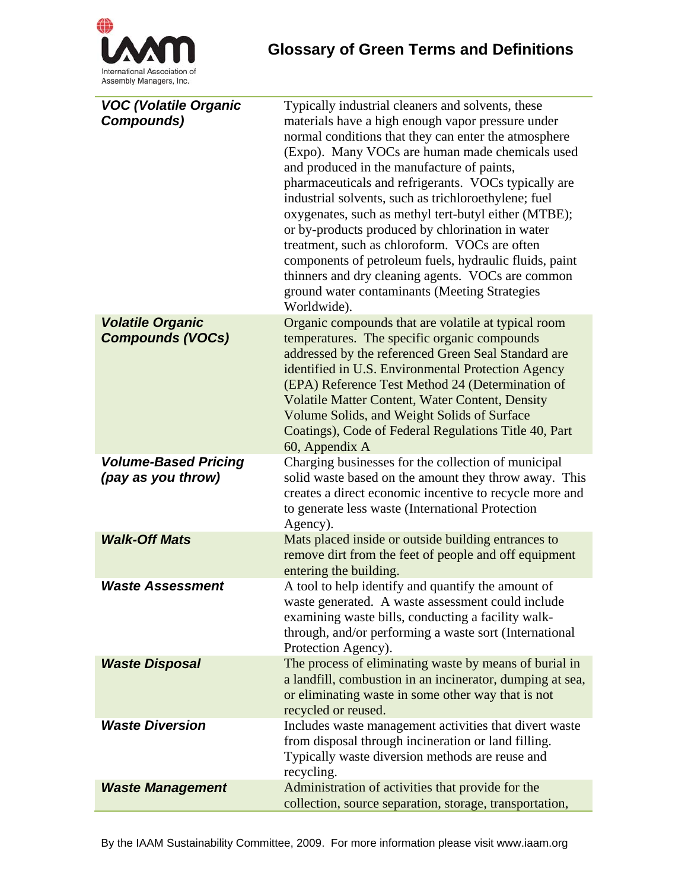

| <b>VOC (Volatile Organic</b><br>Compounds)         | Typically industrial cleaners and solvents, these<br>materials have a high enough vapor pressure under<br>normal conditions that they can enter the atmosphere<br>(Expo). Many VOCs are human made chemicals used<br>and produced in the manufacture of paints,<br>pharmaceuticals and refrigerants. VOCs typically are<br>industrial solvents, such as trichloroethylene; fuel<br>oxygenates, such as methyl tert-butyl either (MTBE);<br>or by-products produced by chlorination in water<br>treatment, such as chloroform. VOCs are often<br>components of petroleum fuels, hydraulic fluids, paint<br>thinners and dry cleaning agents. VOCs are common<br>ground water contaminants (Meeting Strategies<br>Worldwide). |
|----------------------------------------------------|-----------------------------------------------------------------------------------------------------------------------------------------------------------------------------------------------------------------------------------------------------------------------------------------------------------------------------------------------------------------------------------------------------------------------------------------------------------------------------------------------------------------------------------------------------------------------------------------------------------------------------------------------------------------------------------------------------------------------------|
| <b>Volatile Organic</b><br><b>Compounds (VOCs)</b> | Organic compounds that are volatile at typical room<br>temperatures. The specific organic compounds<br>addressed by the referenced Green Seal Standard are<br>identified in U.S. Environmental Protection Agency<br>(EPA) Reference Test Method 24 (Determination of<br><b>Volatile Matter Content, Water Content, Density</b><br>Volume Solids, and Weight Solids of Surface<br>Coatings), Code of Federal Regulations Title 40, Part<br>60, Appendix A                                                                                                                                                                                                                                                                    |
| <b>Volume-Based Pricing</b><br>(pay as you throw)  | Charging businesses for the collection of municipal<br>solid waste based on the amount they throw away. This<br>creates a direct economic incentive to recycle more and<br>to generate less waste (International Protection<br>Agency).                                                                                                                                                                                                                                                                                                                                                                                                                                                                                     |
| <b>Walk-Off Mats</b>                               | Mats placed inside or outside building entrances to<br>remove dirt from the feet of people and off equipment<br>entering the building.                                                                                                                                                                                                                                                                                                                                                                                                                                                                                                                                                                                      |
| <b>Waste Assessment</b>                            | A tool to help identify and quantify the amount of<br>waste generated. A waste assessment could include<br>examining waste bills, conducting a facility walk-<br>through, and/or performing a waste sort (International<br>Protection Agency).                                                                                                                                                                                                                                                                                                                                                                                                                                                                              |
| <b>Waste Disposal</b>                              | The process of eliminating waste by means of burial in<br>a landfill, combustion in an incinerator, dumping at sea,<br>or eliminating waste in some other way that is not<br>recycled or reused.                                                                                                                                                                                                                                                                                                                                                                                                                                                                                                                            |
| <b>Waste Diversion</b>                             | Includes waste management activities that divert waste<br>from disposal through incineration or land filling.<br>Typically waste diversion methods are reuse and<br>recycling.                                                                                                                                                                                                                                                                                                                                                                                                                                                                                                                                              |
| <b>Waste Management</b>                            | Administration of activities that provide for the<br>collection, source separation, storage, transportation,                                                                                                                                                                                                                                                                                                                                                                                                                                                                                                                                                                                                                |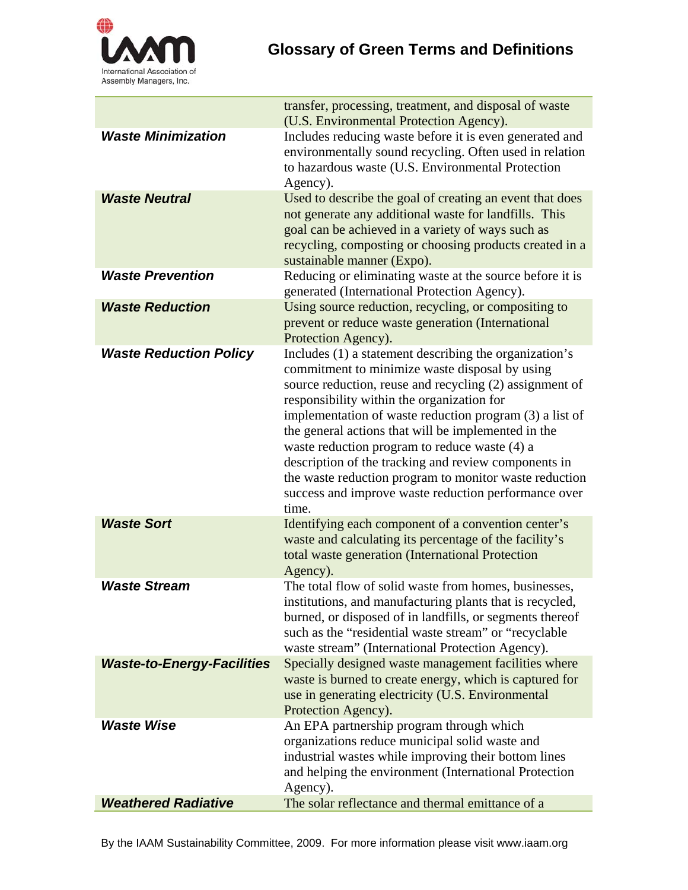

|                                   | transfer, processing, treatment, and disposal of waste<br>(U.S. Environmental Protection Agency).                                                                                                                                                                                                                                                                                                                                                                                                                                                                       |
|-----------------------------------|-------------------------------------------------------------------------------------------------------------------------------------------------------------------------------------------------------------------------------------------------------------------------------------------------------------------------------------------------------------------------------------------------------------------------------------------------------------------------------------------------------------------------------------------------------------------------|
| <b>Waste Minimization</b>         | Includes reducing waste before it is even generated and<br>environmentally sound recycling. Often used in relation<br>to hazardous waste (U.S. Environmental Protection<br>Agency).                                                                                                                                                                                                                                                                                                                                                                                     |
| <b>Waste Neutral</b>              | Used to describe the goal of creating an event that does<br>not generate any additional waste for landfills. This<br>goal can be achieved in a variety of ways such as<br>recycling, composting or choosing products created in a<br>sustainable manner (Expo).                                                                                                                                                                                                                                                                                                         |
| <b>Waste Prevention</b>           | Reducing or eliminating waste at the source before it is<br>generated (International Protection Agency).                                                                                                                                                                                                                                                                                                                                                                                                                                                                |
| <b>Waste Reduction</b>            | Using source reduction, recycling, or compositing to<br>prevent or reduce waste generation (International<br>Protection Agency).                                                                                                                                                                                                                                                                                                                                                                                                                                        |
| <b>Waste Reduction Policy</b>     | Includes (1) a statement describing the organization's<br>commitment to minimize waste disposal by using<br>source reduction, reuse and recycling (2) assignment of<br>responsibility within the organization for<br>implementation of waste reduction program (3) a list of<br>the general actions that will be implemented in the<br>waste reduction program to reduce waste (4) a<br>description of the tracking and review components in<br>the waste reduction program to monitor waste reduction<br>success and improve waste reduction performance over<br>time. |
| <b>Waste Sort</b>                 | Identifying each component of a convention center's<br>waste and calculating its percentage of the facility's<br>total waste generation (International Protection<br>Agency).                                                                                                                                                                                                                                                                                                                                                                                           |
| <b>Waste Stream</b>               | The total flow of solid waste from homes, businesses,<br>institutions, and manufacturing plants that is recycled,<br>burned, or disposed of in landfills, or segments thereof<br>such as the "residential waste stream" or "recyclable<br>waste stream" (International Protection Agency).                                                                                                                                                                                                                                                                              |
| <b>Waste-to-Energy-Facilities</b> | Specially designed waste management facilities where<br>waste is burned to create energy, which is captured for<br>use in generating electricity (U.S. Environmental<br>Protection Agency).                                                                                                                                                                                                                                                                                                                                                                             |
| <b>Waste Wise</b>                 | An EPA partnership program through which<br>organizations reduce municipal solid waste and<br>industrial wastes while improving their bottom lines<br>and helping the environment (International Protection<br>Agency).                                                                                                                                                                                                                                                                                                                                                 |
| <b>Weathered Radiative</b>        | The solar reflectance and thermal emittance of a                                                                                                                                                                                                                                                                                                                                                                                                                                                                                                                        |